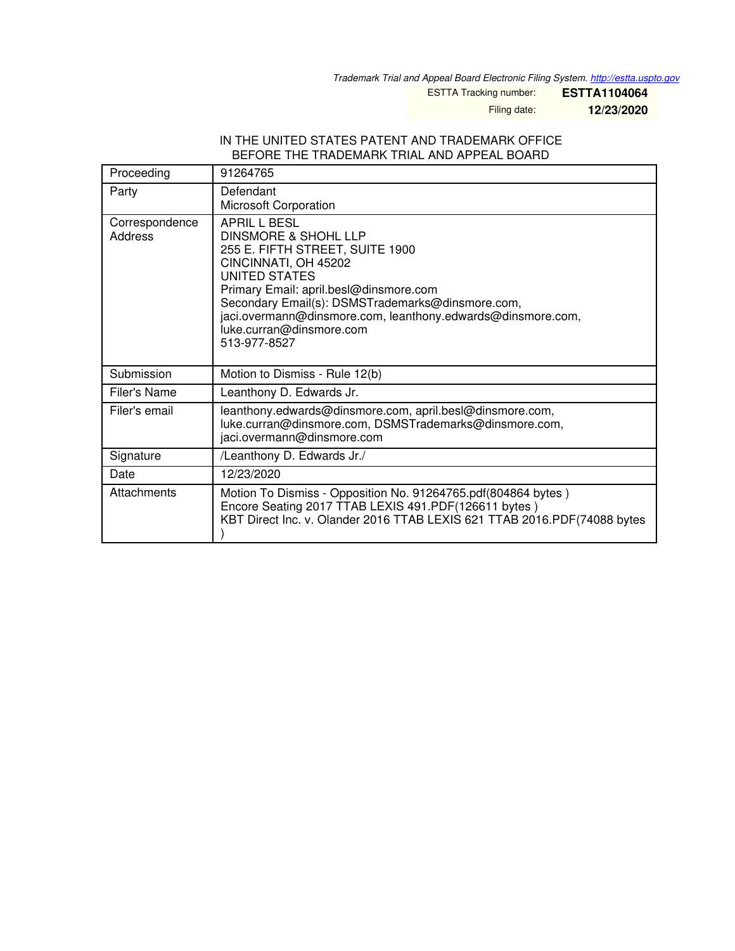*Trademark Trial and Appeal Board Electronic Filing System. <http://estta.uspto.gov>*

ESTTA Tracking number: **ESTTA1104064**

Filing date: **12/23/2020**

#### IN THE UNITED STATES PATENT AND TRADEMARK OFFICE BEFORE THE TRADEMARK TRIAL AND APPEAL BOARD

| Proceeding                | 91264765                                                                                                                                                                                                                                                                                                                             |
|---------------------------|--------------------------------------------------------------------------------------------------------------------------------------------------------------------------------------------------------------------------------------------------------------------------------------------------------------------------------------|
| Party                     | Defendant                                                                                                                                                                                                                                                                                                                            |
|                           | <b>Microsoft Corporation</b>                                                                                                                                                                                                                                                                                                         |
| Correspondence<br>Address | APRIL L BESL<br><b>DINSMORE &amp; SHOHL LLP</b><br>255 E. FIFTH STREET, SUITE 1900<br>CINCINNATI, OH 45202<br>UNITED STATES<br>Primary Email: april.besl@dinsmore.com<br>Secondary Email(s): DSMSTrademarks@dinsmore.com,<br>jaci.overmann@dinsmore.com, leanthony.edwards@dinsmore.com,<br>luke.curran@dinsmore.com<br>513-977-8527 |
| Submission                | Motion to Dismiss - Rule 12(b)                                                                                                                                                                                                                                                                                                       |
| Filer's Name              | Leanthony D. Edwards Jr.                                                                                                                                                                                                                                                                                                             |
| Filer's email             | leanthony.edwards@dinsmore.com, april.besl@dinsmore.com,<br>luke.curran@dinsmore.com, DSMSTrademarks@dinsmore.com,<br>jaci.overmann@dinsmore.com                                                                                                                                                                                     |
| Signature                 | /Leanthony D. Edwards Jr./                                                                                                                                                                                                                                                                                                           |
| Date                      | 12/23/2020                                                                                                                                                                                                                                                                                                                           |
| Attachments               | Motion To Dismiss - Opposition No. 91264765.pdf(804864 bytes)<br>Encore Seating 2017 TTAB LEXIS 491.PDF(126611 bytes)<br>KBT Direct Inc. v. Olander 2016 TTAB LEXIS 621 TTAB 2016.PDF(74088 bytes                                                                                                                                    |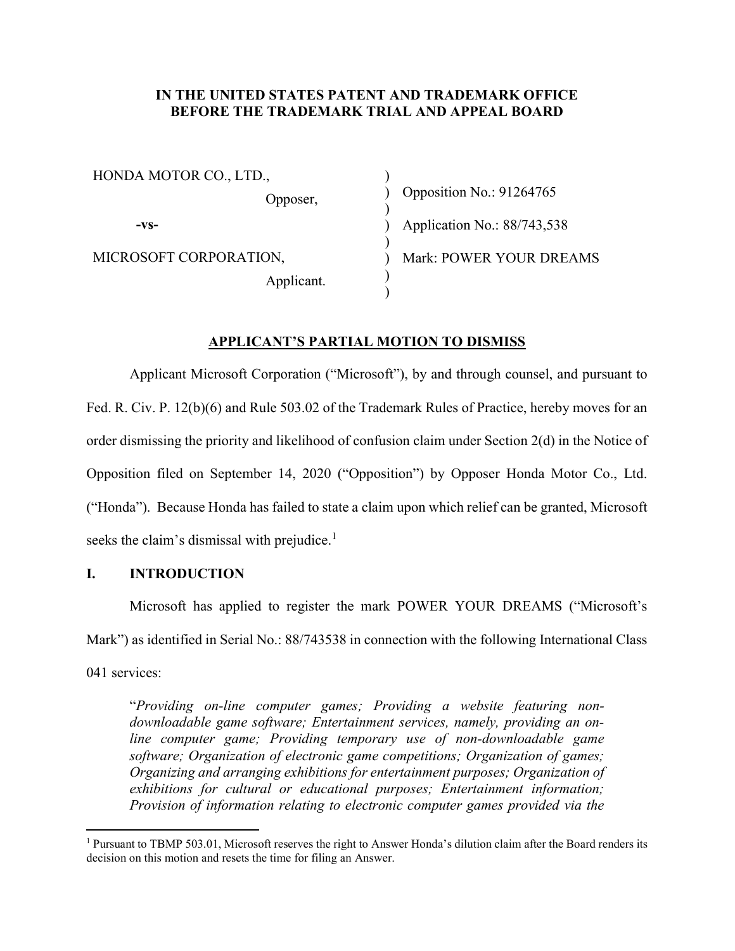### IN THE UNITED STATES PATENT AND TRADEMARK OFFICE BEFORE THE TRADEMARK TRIAL AND APPEAL BOARD

HONDA MOTOR CO., LTD., Opposer, -vs-MICROSOFT CORPORATION, Applicant. ) ) Opposition No.: 91264765 ) ) Application No.: 88/743,538 ) ) Mark: POWER YOUR DREAMS )

### APPLICANT'S PARTIAL MOTION TO DISMISS

)

 Applicant Microsoft Corporation ("Microsoft"), by and through counsel, and pursuant to Fed. R. Civ. P. 12(b)(6) and Rule 503.02 of the Trademark Rules of Practice, hereby moves for an order dismissing the priority and likelihood of confusion claim under Section 2(d) in the Notice of Opposition filed on September 14, 2020 ("Opposition") by Opposer Honda Motor Co., Ltd. ("Honda"). Because Honda has failed to state a claim upon which relief can be granted, Microsoft seeks the claim's dismissal with prejudice.<sup>1</sup>

### I. INTRODUCTION

 $\overline{a}$ 

Microsoft has applied to register the mark POWER YOUR DREAMS ("Microsoft's Mark") as identified in Serial No.: 88/743538 in connection with the following International Class 041 services:

"Providing on-line computer games; Providing a website featuring nondownloadable game software; Entertainment services, namely, providing an online computer game; Providing temporary use of non-downloadable game software; Organization of electronic game competitions; Organization of games; Organizing and arranging exhibitions for entertainment purposes; Organization of exhibitions for cultural or educational purposes; Entertainment information; Provision of information relating to electronic computer games provided via the

<sup>&</sup>lt;sup>1</sup> Pursuant to TBMP 503.01, Microsoft reserves the right to Answer Honda's dilution claim after the Board renders its decision on this motion and resets the time for filing an Answer.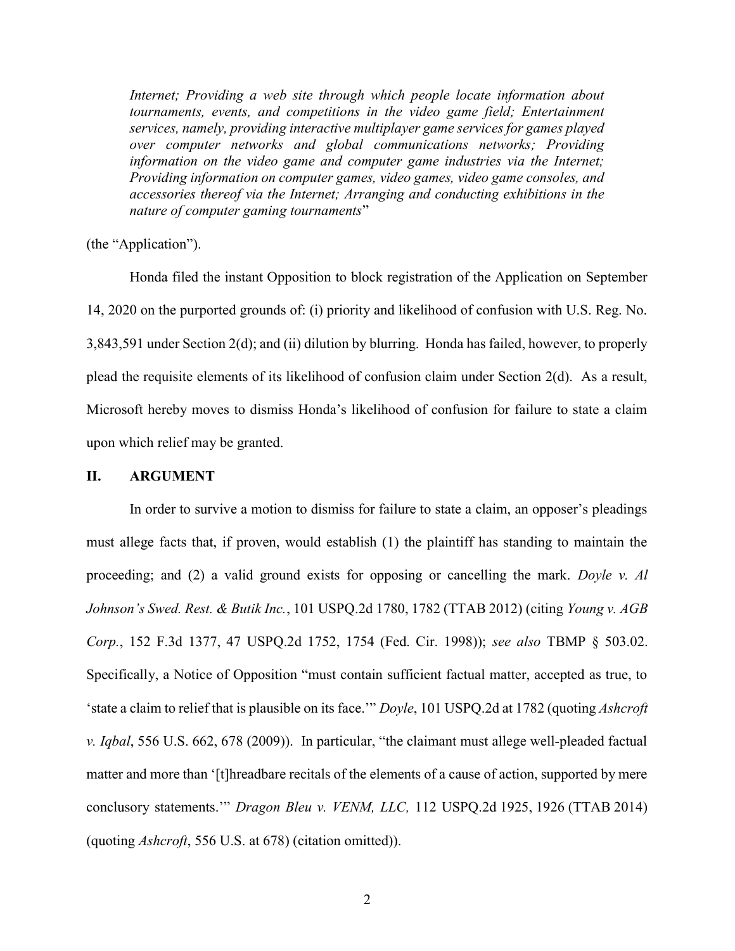Internet; Providing a web site through which people locate information about tournaments, events, and competitions in the video game field; Entertainment services, namely, providing interactive multiplayer game services for games played over computer networks and global communications networks; Providing information on the video game and computer game industries via the Internet; Providing information on computer games, video games, video game consoles, and accessories thereof via the Internet; Arranging and conducting exhibitions in the nature of computer gaming tournaments"

(the "Application").

Honda filed the instant Opposition to block registration of the Application on September 14, 2020 on the purported grounds of: (i) priority and likelihood of confusion with U.S. Reg. No. 3,843,591 under Section 2(d); and (ii) dilution by blurring. Honda has failed, however, to properly plead the requisite elements of its likelihood of confusion claim under Section 2(d). As a result, Microsoft hereby moves to dismiss Honda's likelihood of confusion for failure to state a claim upon which relief may be granted.

### II. ARGUMENT

In order to survive a motion to dismiss for failure to state a claim, an opposer's pleadings must allege facts that, if proven, would establish (1) the plaintiff has standing to maintain the proceeding; and (2) a valid ground exists for opposing or cancelling the mark. Doyle v. Al Johnson's Swed. Rest. & Butik Inc., 101 USPQ.2d 1780, 1782 (TTAB 2012) (citing Young v. AGB Corp., 152 F.3d 1377, 47 USPQ.2d 1752, 1754 (Fed. Cir. 1998)); see also TBMP § 503.02. Specifically, a Notice of Opposition "must contain sufficient factual matter, accepted as true, to 'state a claim to relief that is plausible on its face.'" Doyle, 101 USPQ.2d at 1782 (quoting Ashcroft v. Iqbal, 556 U.S. 662, 678 (2009)). In particular, "the claimant must allege well-pleaded factual matter and more than '[t]hreadbare recitals of the elements of a cause of action, supported by mere conclusory statements.'" Dragon Bleu v. VENM, LLC, 112 USPQ.2d 1925, 1926 (TTAB 2014) (quoting Ashcroft, 556 U.S. at 678) (citation omitted)).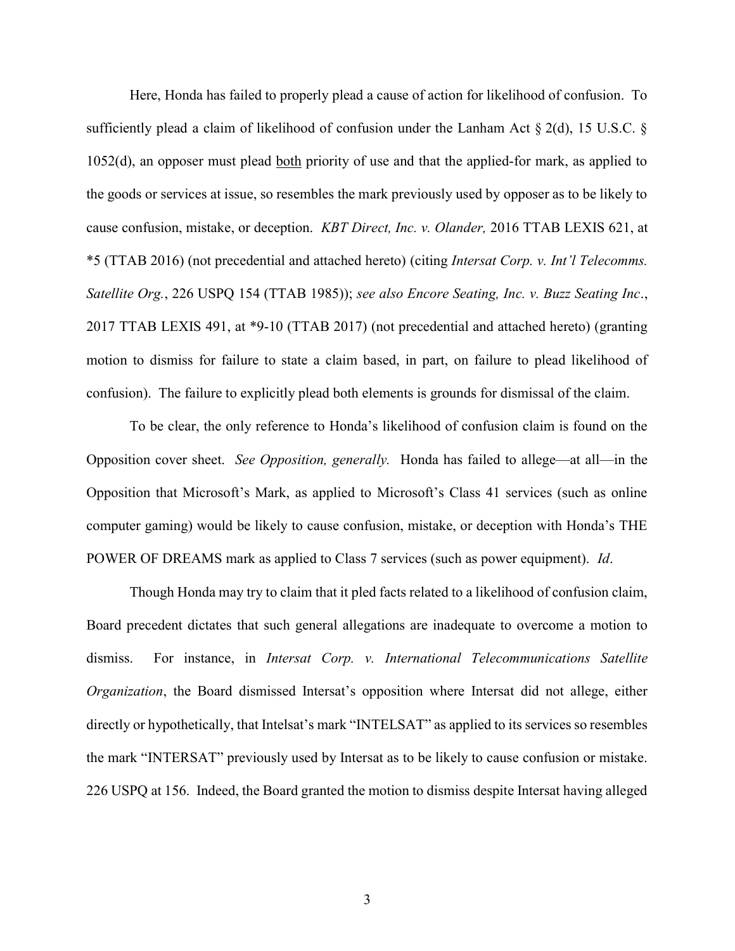Here, Honda has failed to properly plead a cause of action for likelihood of confusion. To sufficiently plead a claim of likelihood of confusion under the Lanham Act § 2(d), 15 U.S.C. § 1052(d), an opposer must plead both priority of use and that the applied-for mark, as applied to the goods or services at issue, so resembles the mark previously used by opposer as to be likely to cause confusion, mistake, or deception. KBT Direct, Inc. v. Olander, 2016 TTAB LEXIS 621, at \*5 (TTAB 2016) (not precedential and attached hereto) (citing Intersat Corp. v. Int'l Telecomms. Satellite Org., 226 USPQ 154 (TTAB 1985)); see also Encore Seating, Inc. v. Buzz Seating Inc., 2017 TTAB LEXIS 491, at \*9-10 (TTAB 2017) (not precedential and attached hereto) (granting motion to dismiss for failure to state a claim based, in part, on failure to plead likelihood of confusion). The failure to explicitly plead both elements is grounds for dismissal of the claim.

To be clear, the only reference to Honda's likelihood of confusion claim is found on the Opposition cover sheet. See Opposition, generally. Honda has failed to allege—at all—in the Opposition that Microsoft's Mark, as applied to Microsoft's Class 41 services (such as online computer gaming) would be likely to cause confusion, mistake, or deception with Honda's THE POWER OF DREAMS mark as applied to Class 7 services (such as power equipment). Id.

Though Honda may try to claim that it pled facts related to a likelihood of confusion claim, Board precedent dictates that such general allegations are inadequate to overcome a motion to dismiss. For instance, in *Intersat Corp. v. International Telecommunications Satellite* Organization, the Board dismissed Intersat's opposition where Intersat did not allege, either directly or hypothetically, that Intelsat's mark "INTELSAT" as applied to its services so resembles the mark "INTERSAT" previously used by Intersat as to be likely to cause confusion or mistake. 226 USPQ at 156. Indeed, the Board granted the motion to dismiss despite Intersat having alleged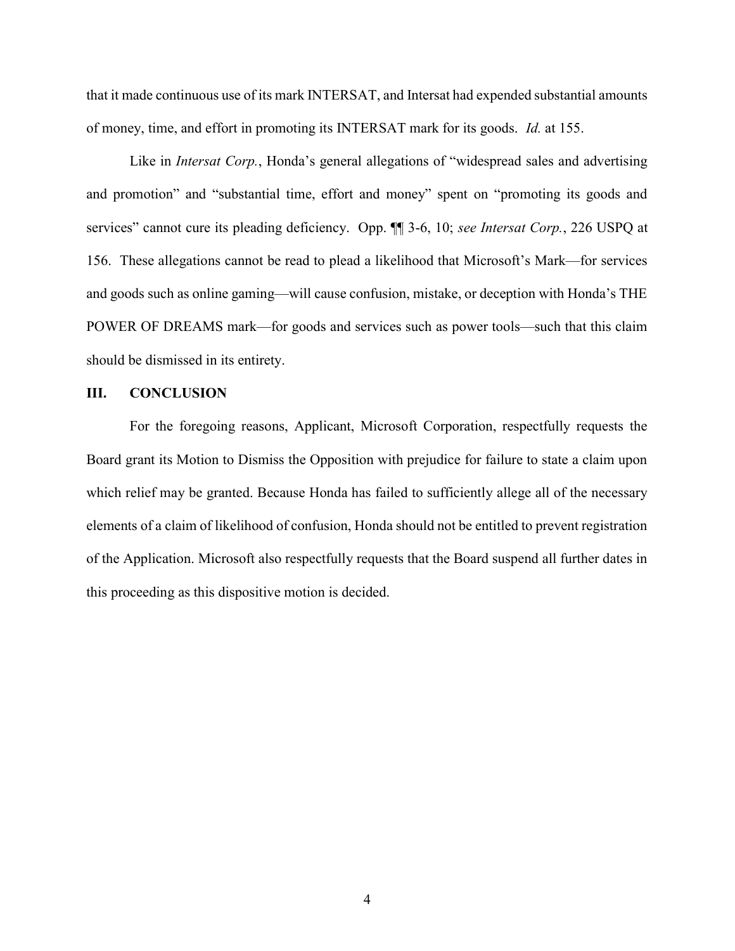that it made continuous use of its mark INTERSAT, and Intersat had expended substantial amounts of money, time, and effort in promoting its INTERSAT mark for its goods. Id. at 155.

Like in *Intersat Corp.*, Honda's general allegations of "widespread sales and advertising and promotion" and "substantial time, effort and money" spent on "promoting its goods and services" cannot cure its pleading deficiency. Opp.  $\P\P$  3-6, 10; see Intersat Corp., 226 USPQ at 156. These allegations cannot be read to plead a likelihood that Microsoft's Mark—for services and goods such as online gaming—will cause confusion, mistake, or deception with Honda's THE POWER OF DREAMS mark—for goods and services such as power tools—such that this claim should be dismissed in its entirety.

### III. CONCLUSION

For the foregoing reasons, Applicant, Microsoft Corporation, respectfully requests the Board grant its Motion to Dismiss the Opposition with prejudice for failure to state a claim upon which relief may be granted. Because Honda has failed to sufficiently allege all of the necessary elements of a claim of likelihood of confusion, Honda should not be entitled to prevent registration of the Application. Microsoft also respectfully requests that the Board suspend all further dates in this proceeding as this dispositive motion is decided.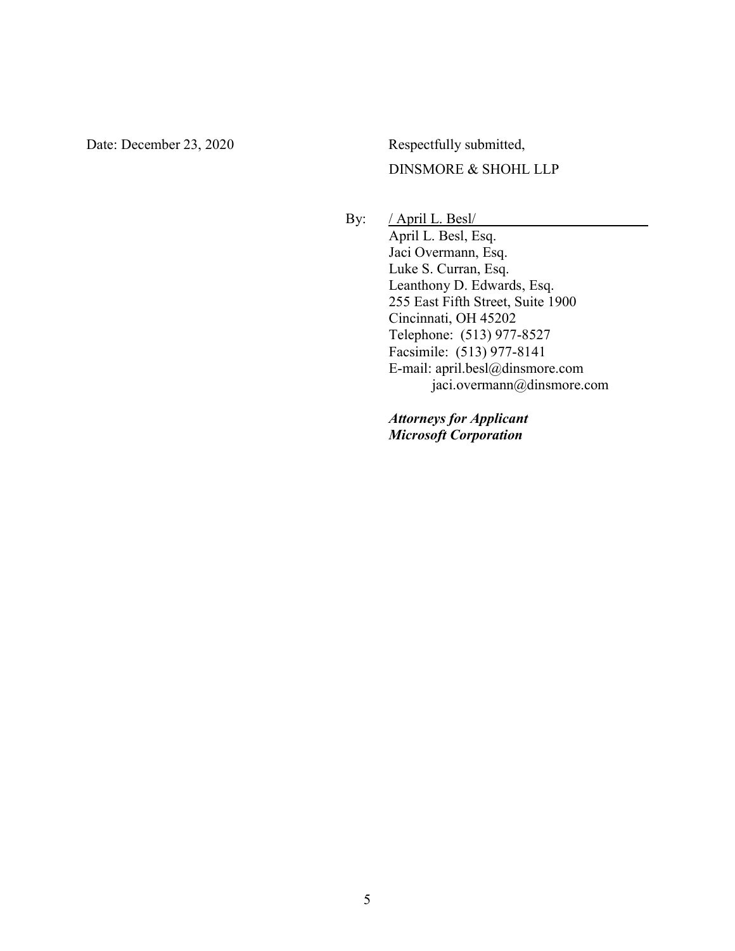Date: December 23, 2020 Respectfully submitted, DINSMORE & SHOHL LLP

> By: / April L. Besl/ April L. Besl, Esq. Jaci Overmann, Esq. Luke S. Curran, Esq. Leanthony D. Edwards, Esq. 255 East Fifth Street, Suite 1900 Cincinnati, OH 45202 Telephone: (513) 977-8527 Facsimile: (513) 977-8141 E-mail: april.besl@dinsmore.com jaci.overmann@dinsmore.com

> > Attorneys for Applicant Microsoft Corporation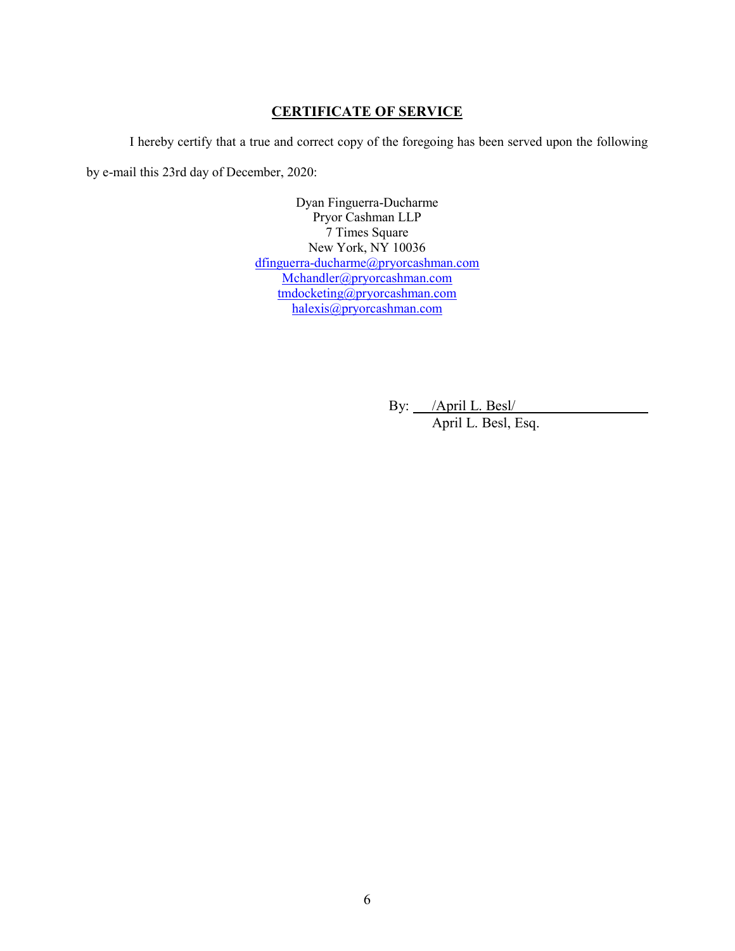### CERTIFICATE OF SERVICE

I hereby certify that a true and correct copy of the foregoing has been served upon the following by e-mail this 23rd day of December, 2020:

> Dyan Finguerra-Ducharme Pryor Cashman LLP 7 Times Square New York, NY 10036 dfinguerra-ducharme@pryorcashman.com Mchandler@pryorcashman.com tmdocketing@pryorcashman.com halexis@pryorcashman.com

> > By: /April L. Besl/

April L. Besl, Esq.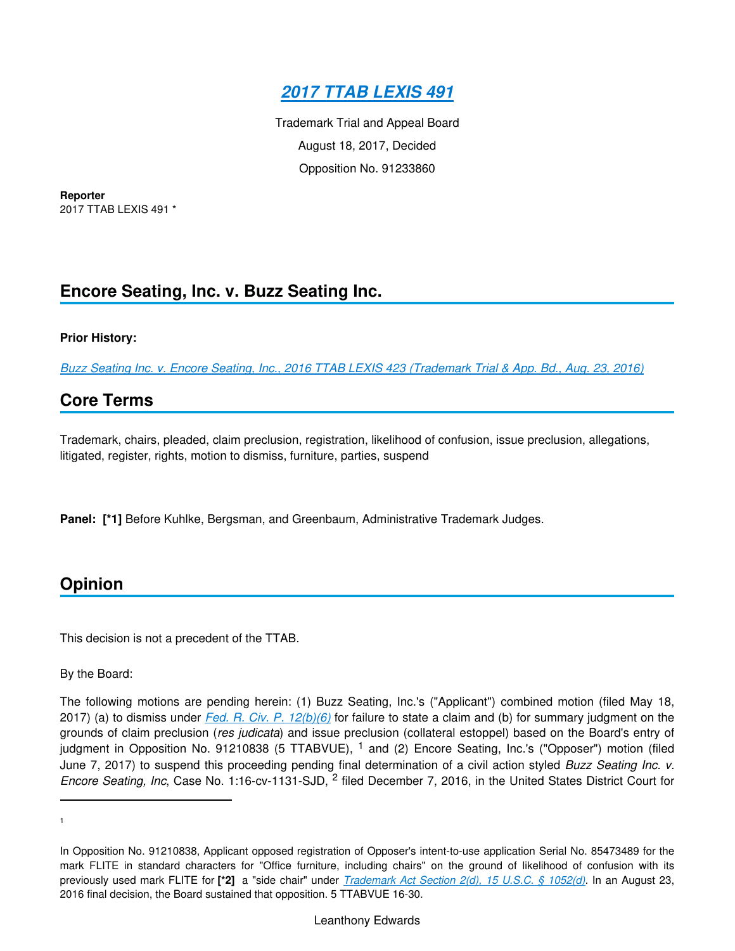

Trademark Trial and Appeal Board August 18, 2017, Decided Opposition No. 91233860

**Reporter** 2017 TTAB LEXIS 491 \*

# **Encore Seating, Inc. v. Buzz Seating Inc.**

### **Prior History:**

*[Buzz Seating Inc. v. Encore Seating, Inc., 2016 TTAB LEXIS 423 \(Trademark Trial & App. Bd., Aug. 23, 2016\)](https://advance.lexis.com/api/document?collection=administrative-materials&id=urn:contentItem:5KPB-N5T0-01KR-B03G-00000-00&context=)*

### **Core Terms**

Trademark, chairs, pleaded, claim preclusion, registration, likelihood of confusion, issue preclusion, allegations, litigated, register, rights, motion to dismiss, furniture, parties, suspend

**Panel: [\*1]** Before Kuhlke, Bergsman, and Greenbaum, Administrative Trademark Judges.

## **Opinion**

This decision is not a precedent of the TTAB.

By the Board:

The following motions are pending herein: (1) Buzz Seating, Inc.'s ("Applicant") combined motion (filed May 18, 2017) (a) to dismiss under *[Fed. R. Civ. P. 12\(b\)\(6\)](https://advance.lexis.com/api/document?collection=statutes-legislation&id=urn:contentItem:5GYC-1WP1-6N19-F0YW-00000-00&context=)* for failure to state a claim and (b) for summary judgment on the grounds of claim preclusion (*res judicata*) and issue preclusion (collateral estoppel) based on the Board's entry of judgment in Opposition No. 91210838 (5 TTABVUE), <sup>1</sup> and (2) Encore Seating, Inc.'s ("Opposer") motion (filed June 7, 2017) to suspend this proceeding pending final determination of a civil action styled *Buzz Seating Inc. v.*  Encore Seating, Inc, Case No. 1:16-cv-1131-SJD, <sup>2</sup> filed December 7, 2016, in the United States District Court for

1

In Opposition No. 91210838, Applicant opposed registration of Opposer's intent-to-use application Serial No. 85473489 for the mark FLITE in standard characters for "Office furniture, including chairs" on the ground of likelihood of confusion with its previously used mark FLITE for **[\*2]** a "side chair" under *[Trademark Act Section 2\(d\), 15 U.S.C. § 1052\(d\)](https://advance.lexis.com/api/document?collection=statutes-legislation&id=urn:contentItem:8S9D-W4W2-8T6X-715N-00000-00&context=)*. In an August 23, 2016 final decision, the Board sustained that opposition. 5 TTABVUE 16-30.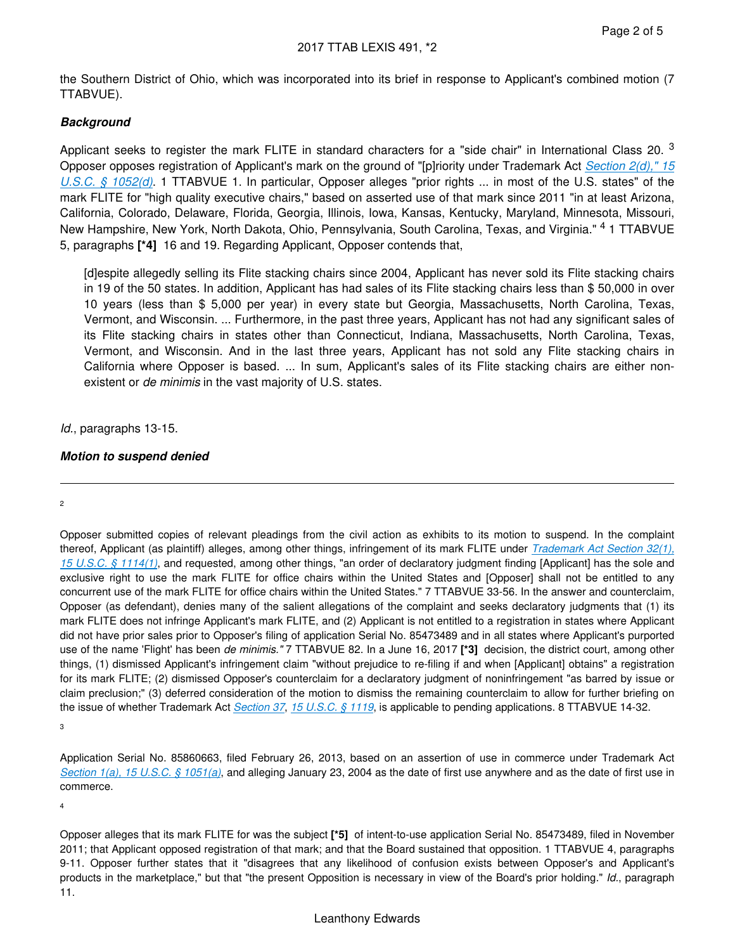the Southern District of Ohio, which was incorporated into its brief in response to Applicant's combined motion (7 TTABVUE).

### **Background**

Applicant seeks to register the mark FLITE in standard characters for a "side chair" in International Class 20.  $3$ Opposer opposes registration of Applicant's mark on the ground of "[p]riority under Trademark Act *[Section 2\(d\)," 15](https://advance.lexis.com/api/document?collection=statutes-legislation&id=urn:contentItem:8S9D-W4W2-8T6X-715N-00000-00&context=)  [U.S.C. § 1052\(d\)](https://advance.lexis.com/api/document?collection=statutes-legislation&id=urn:contentItem:8S9D-W4W2-8T6X-715N-00000-00&context=)*. 1 TTABVUE 1. In particular, Opposer alleges "prior rights ... in most of the U.S. states" of the mark FLITE for "high quality executive chairs," based on asserted use of that mark since 2011 "in at least Arizona, California, Colorado, Delaware, Florida, Georgia, Illinois, Iowa, Kansas, Kentucky, Maryland, Minnesota, Missouri, New Hampshire, New York, North Dakota, Ohio, Pennsylvania, South Carolina, Texas, and Virginia." <sup>4</sup> 1 TTABVUE 5, paragraphs **[\*4]** 16 and 19. Regarding Applicant, Opposer contends that,

[d]espite allegedly selling its Flite stacking chairs since 2004, Applicant has never sold its Flite stacking chairs in 19 of the 50 states. In addition, Applicant has had sales of its Flite stacking chairs less than \$ 50,000 in over 10 years (less than \$ 5,000 per year) in every state but Georgia, Massachusetts, North Carolina, Texas, Vermont, and Wisconsin. ... Furthermore, in the past three years, Applicant has not had any significant sales of its Flite stacking chairs in states other than Connecticut, Indiana, Massachusetts, North Carolina, Texas, Vermont, and Wisconsin. And in the last three years, Applicant has not sold any Flite stacking chairs in California where Opposer is based. ... In sum, Applicant's sales of its Flite stacking chairs are either nonexistent or *de minimis* in the vast majority of U.S. states.

### *Id.*, paragraphs 13-15.

### **Motion to suspend denied**

#### 2

Opposer submitted copies of relevant pleadings from the civil action as exhibits to its motion to suspend. In the complaint thereof, Applicant (as plaintiff) alleges, among other things, infringement of its mark FLITE under *[Trademark Act Section 32\(1\),](https://advance.lexis.com/api/document?collection=statutes-legislation&id=urn:contentItem:8S9D-W4W2-8T6X-716T-00000-00&context=)  [15 U.S.C. § 1114\(1\)](https://advance.lexis.com/api/document?collection=statutes-legislation&id=urn:contentItem:8S9D-W4W2-8T6X-716T-00000-00&context=)*, and requested, among other things, "an order of declaratory judgment finding [Applicant] has the sole and exclusive right to use the mark FLITE for office chairs within the United States and [Opposer] shall not be entitled to any concurrent use of the mark FLITE for office chairs within the United States." 7 TTABVUE 33-56. In the answer and counterclaim, Opposer (as defendant), denies many of the salient allegations of the complaint and seeks declaratory judgments that (1) its mark FLITE does not infringe Applicant's mark FLITE, and (2) Applicant is not entitled to a registration in states where Applicant did not have prior sales prior to Opposer's filing of application Serial No. 85473489 and in all states where Applicant's purported use of the name 'Flight' has been *de minimis."* 7 TTABVUE 82. In a June 16, 2017 **[\*3]** decision, the district court, among other things, (1) dismissed Applicant's infringement claim "without prejudice to re-filing if and when [Applicant] obtains" a registration for its mark FLITE; (2) dismissed Opposer's counterclaim for a declaratory judgment of noninfringement "as barred by issue or claim preclusion;" (3) deferred consideration of the motion to dismiss the remaining counterclaim to allow for further briefing on the issue of whether Trademark Act *[Section 37](https://advance.lexis.com/api/document?collection=statutes-legislation&id=urn:contentItem:8S9D-W4V2-8T6X-7501-00000-00&context=)*, *[15 U.S.C. § 1119](https://advance.lexis.com/api/document?collection=statutes-legislation&id=urn:contentItem:8S9D-W4W2-8T6X-7170-00000-00&context=)*, is applicable to pending applications. 8 TTABVUE 14-32.

3

Application Serial No. 85860663, filed February 26, 2013, based on an assertion of use in commerce under Trademark Act *[Section 1\(a\), 15 U.S.C. § 1051\(a\)](https://advance.lexis.com/api/document?collection=statutes-legislation&id=urn:contentItem:8S9D-W4W2-8T6X-715M-00000-00&context=)*, and alleging January 23, 2004 as the date of first use anywhere and as the date of first use in commerce.

4

Opposer alleges that its mark FLITE for was the subject **[\*5]** of intent-to-use application Serial No. 85473489, filed in November 2011; that Applicant opposed registration of that mark; and that the Board sustained that opposition. 1 TTABVUE 4, paragraphs 9-11. Opposer further states that it "disagrees that any likelihood of confusion exists between Opposer's and Applicant's products in the marketplace," but that "the present Opposition is necessary in view of the Board's prior holding." *Id.*, paragraph 11.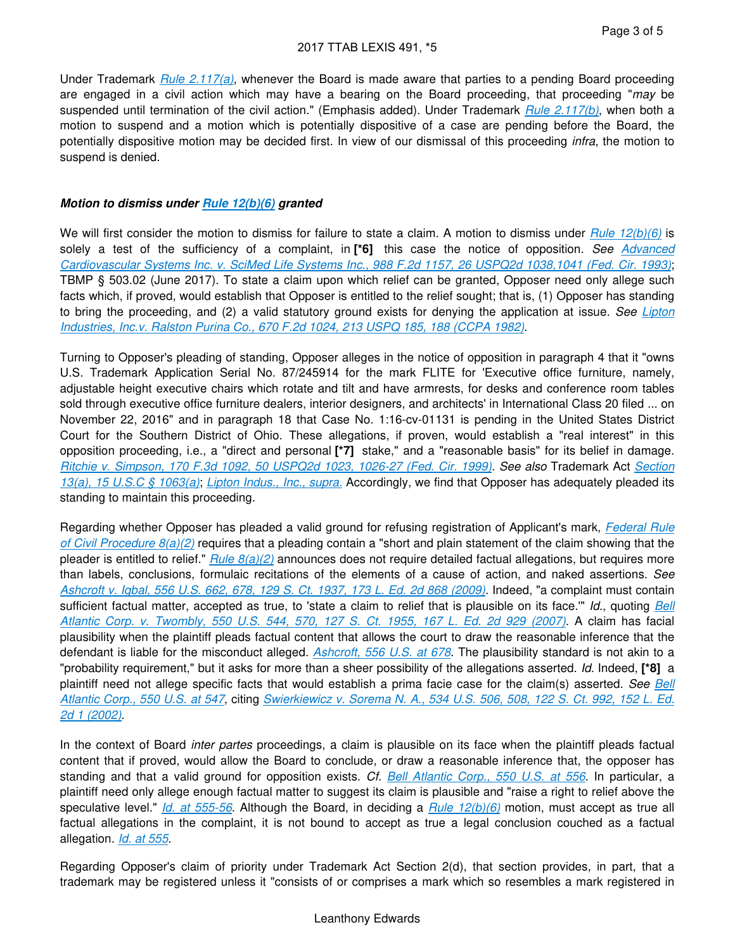Under Trademark *[Rule 2.117\(a\)](https://advance.lexis.com/api/document?collection=administrative-codes&id=urn:contentItem:602B-93B1-DYB7-W3WW-00000-00&context=)*, whenever the Board is made aware that parties to a pending Board proceeding are engaged in a civil action which may have a bearing on the Board proceeding, that proceeding "*may* be suspended until termination of the civil action." (Emphasis added). Under Trademark *[Rule 2.117\(b\)](https://advance.lexis.com/api/document?collection=administrative-codes&id=urn:contentItem:602B-93B1-DYB7-W3WW-00000-00&context=)*, when both a motion to suspend and a motion which is potentially dispositive of a case are pending before the Board, the potentially dispositive motion may be decided first. In view of our dismissal of this proceeding *infra*, the motion to suspend is denied.

### **Motion to dismiss under [Rule 12\(b\)\(6\)](https://advance.lexis.com/api/document?collection=statutes-legislation&id=urn:contentItem:5GYC-1WP1-6N19-F0YW-00000-00&context=) granted**

We will first consider the motion to dismiss for failure to state a claim. A motion to dismiss under *[Rule 12\(b\)\(6\)](https://advance.lexis.com/api/document?collection=statutes-legislation&id=urn:contentItem:5GYC-1WP1-6N19-F0YW-00000-00&context=)* is solely a test of the sufficiency of a complaint, in **[\*6]** this case the notice of opposition. *See [Advanced](https://advance.lexis.com/api/document?collection=cases&id=urn:contentItem:3S4V-N270-003N-444D-00000-00&context=)  [Cardiovascular Systems Inc. v. SciMed Life Systems Inc., 988 F.2d 1157, 26 USPQ2d 1038,1041 \(Fed. Cir. 1993\)](https://advance.lexis.com/api/document?collection=cases&id=urn:contentItem:3S4V-N270-003N-444D-00000-00&context=)*; TBMP § 503.02 (June 2017). To state a claim upon which relief can be granted, Opposer need only allege such facts which, if proved, would establish that Opposer is entitled to the relief sought; that is, (1) Opposer has standing to bring the proceeding, and (2) a valid statutory ground exists for denying the application at issue. *See [Lipton](https://advance.lexis.com/api/document?collection=cases&id=urn:contentItem:3S4X-2SH0-003S-M04H-00000-00&context=)  [Industries, Inc.v. Ralston Purina Co., 670 F.2d 1024, 213 USPQ 185, 188 \(CCPA 1982\)](https://advance.lexis.com/api/document?collection=cases&id=urn:contentItem:3S4X-2SH0-003S-M04H-00000-00&context=)*.

Turning to Opposer's pleading of standing, Opposer alleges in the notice of opposition in paragraph 4 that it "owns U.S. Trademark Application Serial No. 87/245914 for the mark FLITE for 'Executive office furniture, namely, adjustable height executive chairs which rotate and tilt and have armrests, for desks and conference room tables sold through executive office furniture dealers, interior designers, and architects' in International Class 20 filed ... on November 22, 2016" and in paragraph 18 that Case No. 1:16-cv-01131 is pending in the United States District Court for the Southern District of Ohio. These allegations, if proven, would establish a "real interest" in this opposition proceeding, i.e., a "direct and personal **[\*7]** stake," and a "reasonable basis" for its belief in damage. *[Ritchie v. Simpson, 170 F.3d 1092, 50 USPQ2d 1023, 1026-27 \(Fed. Cir. 1999\)](https://advance.lexis.com/api/document?collection=cases&id=urn:contentItem:3W1H-B9G0-003B-90JB-00000-00&context=)*. *See also* Trademark Act *[Section](https://advance.lexis.com/api/document?collection=statutes-legislation&id=urn:contentItem:8S9D-W4W2-8T6X-7162-00000-00&context=)  [13\(a\), 15 U.S.C § 1063\(a\)](https://advance.lexis.com/api/document?collection=statutes-legislation&id=urn:contentItem:8S9D-W4W2-8T6X-7162-00000-00&context=)*; *[Lipton Indus., Inc., supra.](https://advance.lexis.com/api/document?collection=cases&id=urn:contentItem:3S4X-2SH0-003S-M04H-00000-00&context=)* Accordingly, we find that Opposer has adequately pleaded its standing to maintain this proceeding.

Regarding whether Opposer has pleaded a valid ground for refusing registration of Applicant's mark, *[Federal Rule](https://advance.lexis.com/api/document?collection=statutes-legislation&id=urn:contentItem:5GYC-1WP1-6N19-F0YK-00000-00&context=)  [of Civil Procedure 8\(a\)\(2\)](https://advance.lexis.com/api/document?collection=statutes-legislation&id=urn:contentItem:5GYC-1WP1-6N19-F0YK-00000-00&context=)* requires that a pleading contain a "short and plain statement of the claim showing that the pleader is entitled to relief." *[Rule 8\(a\)\(2\)](https://advance.lexis.com/api/document?collection=statutes-legislation&id=urn:contentItem:5GYC-1WP1-6N19-F0YK-00000-00&context=)* announces does not require detailed factual allegations, but requires more than labels, conclusions, formulaic recitations of the elements of a cause of action, and naked assertions. *See [Ashcroft v. Iqbal, 556 U.S. 662, 678, 129 S. Ct. 1937, 173 L. Ed. 2d 868 \(2009\)](https://advance.lexis.com/api/document?collection=cases&id=urn:contentItem:4W9Y-4KS0-TXFX-1325-00000-00&context=)*. Indeed, "a complaint must contain sufficient factual matter, accepted as true, to 'state a claim to relief that is plausible on its face.'" *Id.*, quoting *[Bell](https://advance.lexis.com/api/document?collection=cases&id=urn:contentItem:4NSN-8840-004C-002M-00000-00&context=)  [Atlantic Corp. v. Twombly, 550 U.S. 544, 570, 127 S. Ct. 1955, 167 L. Ed. 2d 929 \(2007\)](https://advance.lexis.com/api/document?collection=cases&id=urn:contentItem:4NSN-8840-004C-002M-00000-00&context=)*. A claim has facial plausibility when the plaintiff pleads factual content that allows the court to draw the reasonable inference that the defendant is liable for the misconduct alleged. *[Ashcroft, 556 U.S. at 678](https://advance.lexis.com/api/document?collection=cases&id=urn:contentItem:4W9Y-4KS0-TXFX-1325-00000-00&context=)*. The plausibility standard is not akin to a "probability requirement," but it asks for more than a sheer possibility of the allegations asserted. *Id.* Indeed, **[\*8]** a plaintiff need not allege specific facts that would establish a prima facie case for the claim(s) asserted. *See [Bell](https://advance.lexis.com/api/document?collection=cases&id=urn:contentItem:4NSN-8840-004C-002M-00000-00&context=)  [Atlantic Corp., 550 U.S. at 547](https://advance.lexis.com/api/document?collection=cases&id=urn:contentItem:4NSN-8840-004C-002M-00000-00&context=)*, citing *[Swierkiewicz v. Sorema N. A., 534 U.S. 506, 508, 122 S. Ct. 992, 152 L. Ed.](https://advance.lexis.com/api/document?collection=cases&id=urn:contentItem:457B-SHV0-004C-003J-00000-00&context=)  [2d 1 \(2002\)](https://advance.lexis.com/api/document?collection=cases&id=urn:contentItem:457B-SHV0-004C-003J-00000-00&context=)*.

In the context of Board *inter partes* proceedings, a claim is plausible on its face when the plaintiff pleads factual content that if proved, would allow the Board to conclude, or draw a reasonable inference that, the opposer has standing and that a valid ground for opposition exists. *Cf. [Bell Atlantic Corp., 550 U.S. at 556](https://advance.lexis.com/api/document?collection=cases&id=urn:contentItem:4NSN-8840-004C-002M-00000-00&context=)*. In particular, a plaintiff need only allege enough factual matter to suggest its claim is plausible and "raise a right to relief above the speculative level." *[Id. at 555-56](https://advance.lexis.com/api/document?collection=cases&id=urn:contentItem:4NSN-8840-004C-002M-00000-00&context=)*. Although the Board, in deciding a *[Rule 12\(b\)\(6\)](https://advance.lexis.com/api/document?collection=statutes-legislation&id=urn:contentItem:5GYC-1WP1-6N19-F0YW-00000-00&context=)* motion, must accept as true all factual allegations in the complaint, it is not bound to accept as true a legal conclusion couched as a factual allegation. *[Id. at 555](https://advance.lexis.com/api/document?collection=cases&id=urn:contentItem:4NSN-8840-004C-002M-00000-00&context=)*.

Regarding Opposer's claim of priority under Trademark Act Section 2(d), that section provides, in part, that a trademark may be registered unless it "consists of or comprises a mark which so resembles a mark registered in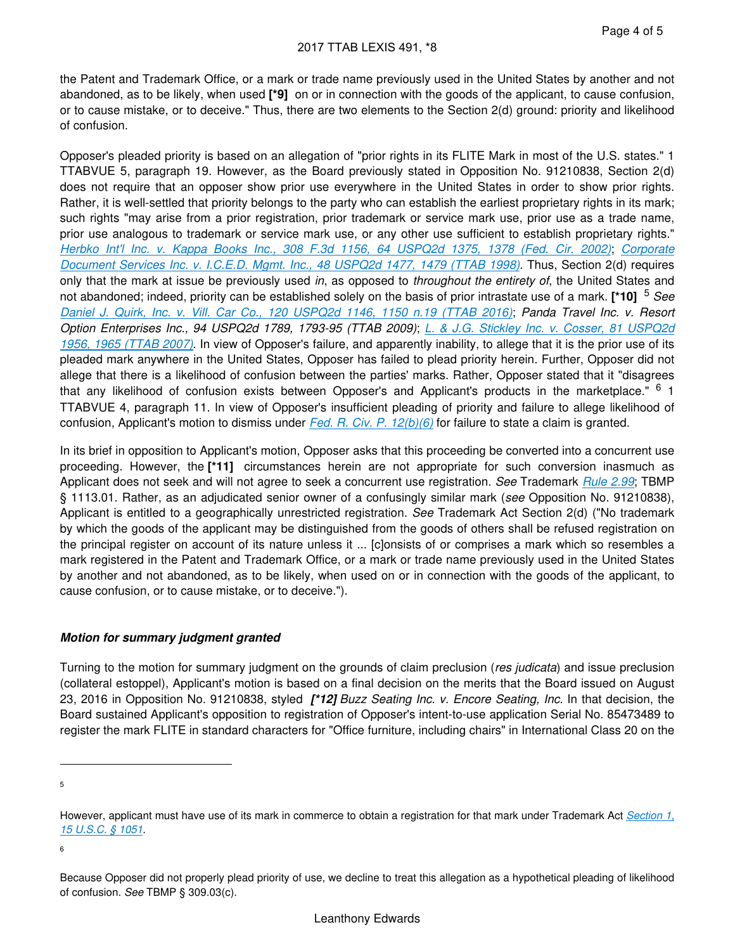the Patent and Trademark Office, or a mark or trade name previously used in the United States by another and not abandoned, as to be likely, when used **[\*9]** on or in connection with the goods of the applicant, to cause confusion, or to cause mistake, or to deceive." Thus, there are two elements to the Section 2(d) ground: priority and likelihood of confusion.

Opposer's pleaded priority is based on an allegation of "prior rights in its FLITE Mark in most of the U.S. states." 1 TTABVUE 5, paragraph 19. However, as the Board previously stated in Opposition No. 91210838, Section 2(d) does not require that an opposer show prior use everywhere in the United States in order to show prior rights. Rather, it is well-settled that priority belongs to the party who can establish the earliest proprietary rights in its mark; such rights "may arise from a prior registration, prior trademark or service mark use, prior use as a trade name, prior use analogous to trademark or service mark use, or any other use sufficient to establish proprietary rights." *[Herbko Int'l Inc. v. Kappa Books Inc., 308 F.3d 1156, 64 USPQ2d 1375, 1378 \(Fed. Cir. 2002\)](https://advance.lexis.com/api/document?collection=cases&id=urn:contentItem:46NW-HHY0-003B-94WR-00000-00&context=)*; *[Corporate](https://advance.lexis.com/api/document?collection=administrative-materials&id=urn:contentItem:3TTK-8PV0-0017-K2B1-00000-00&context=)  [Document Services Inc. v. I.C.E.D. Mgmt. Inc., 48 USPQ2d 1477, 1479 \(TTAB 1998\)](https://advance.lexis.com/api/document?collection=administrative-materials&id=urn:contentItem:3TTK-8PV0-0017-K2B1-00000-00&context=)*. Thus, Section 2(d) requires only that the mark at issue be previously used *in*, as opposed to *throughout the entirety of*, the United States and not abandoned; indeed, priority can be established solely on the basis of prior intrastate use of a mark. **[\*10]** <sup>5</sup> *See [Daniel J. Quirk, Inc. v. Vill. Car Co., 120 USPQ2d 1146, 1150 n.19 \(TTAB 2016\)](https://advance.lexis.com/api/document?collection=administrative-materials&id=urn:contentItem:5KTS-HKG0-01KR-B059-00000-00&context=)*; *Panda Travel Inc. v. Resort Option Enterprises Inc., 94 USPQ2d 1789, 1793-95 (TTAB 2009)*; *[L. & J.G. Stickley Inc. v. Cosser, 81 USPQ2d](https://advance.lexis.com/api/document?collection=administrative-materials&id=urn:contentItem:4MV0-63S0-0017-K017-00000-00&context=)  [1956, 1965 \(TTAB 2007\)](https://advance.lexis.com/api/document?collection=administrative-materials&id=urn:contentItem:4MV0-63S0-0017-K017-00000-00&context=)*. In view of Opposer's failure, and apparently inability, to allege that it is the prior use of its pleaded mark anywhere in the United States, Opposer has failed to plead priority herein. Further, Opposer did not allege that there is a likelihood of confusion between the parties' marks. Rather, Opposer stated that it "disagrees that any likelihood of confusion exists between Opposer's and Applicant's products in the marketplace." <sup>6</sup> 1 TTABVUE 4, paragraph 11. In view of Opposer's insufficient pleading of priority and failure to allege likelihood of confusion, Applicant's motion to dismiss under *[Fed. R. Civ. P. 12\(b\)\(6\)](https://advance.lexis.com/api/document?collection=statutes-legislation&id=urn:contentItem:5GYC-1WP1-6N19-F0YW-00000-00&context=)* for failure to state a claim is granted.

In its brief in opposition to Applicant's motion, Opposer asks that this proceeding be converted into a concurrent use proceeding. However, the **[\*11]** circumstances herein are not appropriate for such conversion inasmuch as Applicant does not seek and will not agree to seek a concurrent use registration. *See* Trademark *[Rule 2.99](https://advance.lexis.com/api/document?collection=administrative-codes&id=urn:contentItem:602B-93B1-DYB7-W3W8-00000-00&context=)*; TBMP § 1113.01. Rather, as an adjudicated senior owner of a confusingly similar mark (*see* Opposition No. 91210838), Applicant is entitled to a geographically unrestricted registration. *See* Trademark Act Section 2(d) ("No trademark by which the goods of the applicant may be distinguished from the goods of others shall be refused registration on the principal register on account of its nature unless it ... [c]onsists of or comprises a mark which so resembles a mark registered in the Patent and Trademark Office, or a mark or trade name previously used in the United States by another and not abandoned, as to be likely, when used on or in connection with the goods of the applicant, to cause confusion, or to cause mistake, or to deceive.").

### **Motion for summary judgment granted**

Turning to the motion for summary judgment on the grounds of claim preclusion (*res judicata*) and issue preclusion (collateral estoppel), Applicant's motion is based on a final decision on the merits that the Board issued on August 23, 2016 in Opposition No. 91210838, styled **[\*12]** *Buzz Seating Inc. v. Encore Seating, Inc.* In that decision, the Board sustained Applicant's opposition to registration of Opposer's intent-to-use application Serial No. 85473489 to register the mark FLITE in standard characters for "Office furniture, including chairs" in International Class 20 on the

5

6

However, applicant must have use of its mark in commerce to obtain a registration for that mark under Trademark Act *[Section 1,](https://advance.lexis.com/api/document?collection=statutes-legislation&id=urn:contentItem:8S9D-W4W2-8T6X-715M-00000-00&context=)  [15 U.S.C. § 1051](https://advance.lexis.com/api/document?collection=statutes-legislation&id=urn:contentItem:8S9D-W4W2-8T6X-715M-00000-00&context=)*.

Because Opposer did not properly plead priority of use, we decline to treat this allegation as a hypothetical pleading of likelihood of confusion. *See* TBMP § 309.03(c).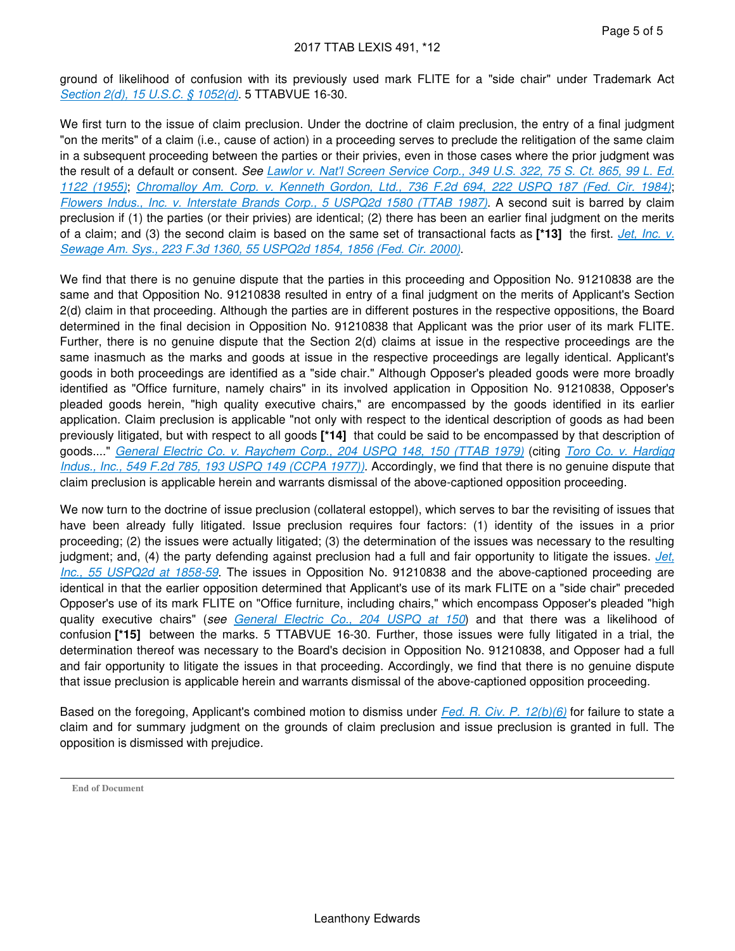ground of likelihood of confusion with its previously used mark FLITE for a "side chair" under Trademark Act *[Section 2\(d\), 15 U.S.C. § 1052\(d\)](https://advance.lexis.com/api/document?collection=statutes-legislation&id=urn:contentItem:8S9D-W4W2-8T6X-715N-00000-00&context=)*. 5 TTABVUE 16-30.

We first turn to the issue of claim preclusion. Under the doctrine of claim preclusion, the entry of a final judgment "on the merits" of a claim (i.e., cause of action) in a proceeding serves to preclude the relitigation of the same claim in a subsequent proceeding between the parties or their privies, even in those cases where the prior judgment was the result of a default or consent. *See [Lawlor v. Nat'l Screen Service Corp., 349 U.S. 322, 75 S. Ct. 865, 99 L. Ed.](https://advance.lexis.com/api/document?collection=cases&id=urn:contentItem:3S4X-JBC0-003B-S1T4-00000-00&context=)  [1122 \(1955\)](https://advance.lexis.com/api/document?collection=cases&id=urn:contentItem:3S4X-JBC0-003B-S1T4-00000-00&context=)*; *[Chromalloy Am. Corp. v. Kenneth Gordon, Ltd., 736 F.2d 694, 222 USPQ 187 \(Fed. Cir. 1984\)](https://advance.lexis.com/api/document?collection=cases&id=urn:contentItem:3S4V-K670-0039-V2G7-00000-00&context=)*; *[Flowers Indus., Inc. v. Interstate Brands Corp., 5 USPQ2d 1580 \(TTAB 1987\)](https://advance.lexis.com/api/document?collection=administrative-materials&id=urn:contentItem:3T1P-0WR0-0017-K0M0-00000-00&context=)*. A second suit is barred by claim preclusion if (1) the parties (or their privies) are identical; (2) there has been an earlier final judgment on the merits of a claim; and (3) the second claim is based on the same set of transactional facts as **[\*13]** the first. *[Jet, Inc. v.](https://advance.lexis.com/api/document?collection=cases&id=urn:contentItem:4123-5C20-003B-9081-00000-00&context=)  [Sewage Am. Sys., 223 F.3d 1360, 55 USPQ2d 1854, 1856 \(Fed. Cir. 2000\)](https://advance.lexis.com/api/document?collection=cases&id=urn:contentItem:4123-5C20-003B-9081-00000-00&context=)*.

We find that there is no genuine dispute that the parties in this proceeding and Opposition No. 91210838 are the same and that Opposition No. 91210838 resulted in entry of a final judgment on the merits of Applicant's Section 2(d) claim in that proceeding. Although the parties are in different postures in the respective oppositions, the Board determined in the final decision in Opposition No. 91210838 that Applicant was the prior user of its mark FLITE. Further, there is no genuine dispute that the Section 2(d) claims at issue in the respective proceedings are the same inasmuch as the marks and goods at issue in the respective proceedings are legally identical. Applicant's goods in both proceedings are identified as a "side chair." Although Opposer's pleaded goods were more broadly identified as "Office furniture, namely chairs" in its involved application in Opposition No. 91210838, Opposer's pleaded goods herein, "high quality executive chairs," are encompassed by the goods identified in its earlier application. Claim preclusion is applicable "not only with respect to the identical description of goods as had been previously litigated, but with respect to all goods **[\*14]** that could be said to be encompassed by that description of goods...." *[General Electric Co. v. Raychem Corp., 204 USPQ 148, 150 \(TTAB 1979\)](https://advance.lexis.com/api/document?collection=administrative-materials&id=urn:contentItem:58XN-P8G0-01KR-B1PV-00000-00&context=)* (citing *[Toro Co. v. Hardigg](https://advance.lexis.com/api/document?collection=cases&id=urn:contentItem:3S4X-3DM0-003S-M10B-00000-00&context=)  [Indus., Inc., 549 F.2d 785, 193 USPQ 149 \(CCPA 1977\)\)](https://advance.lexis.com/api/document?collection=cases&id=urn:contentItem:3S4X-3DM0-003S-M10B-00000-00&context=)*. Accordingly, we find that there is no genuine dispute that claim preclusion is applicable herein and warrants dismissal of the above-captioned opposition proceeding.

We now turn to the doctrine of issue preclusion (collateral estoppel), which serves to bar the revisiting of issues that have been already fully litigated. Issue preclusion requires four factors: (1) identity of the issues in a prior proceeding; (2) the issues were actually litigated; (3) the determination of the issues was necessary to the resulting judgment; and, (4) the party defending against preclusion had a full and fair opportunity to litigate the issues. *[Jet,](https://advance.lexis.com/api/document?collection=cases&id=urn:contentItem:4123-5C20-003B-9081-00000-00&context=)  [Inc., 55 USPQ2d at 1858-59](https://advance.lexis.com/api/document?collection=cases&id=urn:contentItem:4123-5C20-003B-9081-00000-00&context=)*. The issues in Opposition No. 91210838 and the above-captioned proceeding are identical in that the earlier opposition determined that Applicant's use of its mark FLITE on a "side chair" preceded Opposer's use of its mark FLITE on "Office furniture, including chairs," which encompass Opposer's pleaded "high quality executive chairs" (*see [General Electric Co., 204 USPQ at 150](https://advance.lexis.com/api/document?collection=administrative-materials&id=urn:contentItem:58XN-P8G0-01KR-B1PV-00000-00&context=)*) and that there was a likelihood of confusion **[\*15]** between the marks. 5 TTABVUE 16-30. Further, those issues were fully litigated in a trial, the determination thereof was necessary to the Board's decision in Opposition No. 91210838, and Opposer had a full and fair opportunity to litigate the issues in that proceeding. Accordingly, we find that there is no genuine dispute that issue preclusion is applicable herein and warrants dismissal of the above-captioned opposition proceeding.

Based on the foregoing, Applicant's combined motion to dismiss under *[Fed. R. Civ. P. 12\(b\)\(6\)](https://advance.lexis.com/api/document?collection=statutes-legislation&id=urn:contentItem:5GYC-1WP1-6N19-F0YW-00000-00&context=)* for failure to state a claim and for summary judgment on the grounds of claim preclusion and issue preclusion is granted in full. The opposition is dismissed with prejudice.

**End of Document**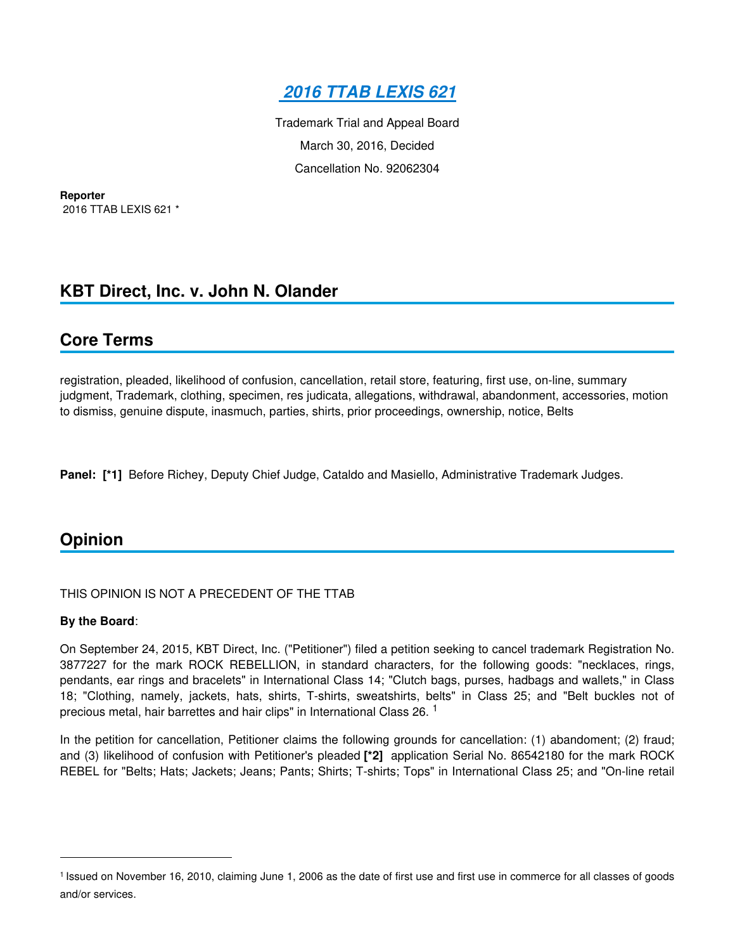

Trademark Trial and Appeal Board March 30, 2016, Decided Cancellation No. 92062304

**Reporter** 2016 TTAB LEXIS 621 \*

## **KBT Direct, Inc. v. John N. Olander**

### **Core Terms**

registration, pleaded, likelihood of confusion, cancellation, retail store, featuring, first use, on-line, summary judgment, Trademark, clothing, specimen, res judicata, allegations, withdrawal, abandonment, accessories, motion to dismiss, genuine dispute, inasmuch, parties, shirts, prior proceedings, ownership, notice, Belts

**Panel: [\*1]** Before Richey, Deputy Chief Judge, Cataldo and Masiello, Administrative Trademark Judges.

## **Opinion**

### THIS OPINION IS NOT A PRECEDENT OF THE TTAB

### **By the Board**:

On September 24, 2015, KBT Direct, Inc. ("Petitioner") filed a petition seeking to cancel trademark Registration No. 3877227 for the mark ROCK REBELLION, in standard characters, for the following goods: "necklaces, rings, pendants, ear rings and bracelets" in International Class 14; "Clutch bags, purses, hadbags and wallets," in Class 18; "Clothing, namely, jackets, hats, shirts, T-shirts, sweatshirts, belts" in Class 25; and "Belt buckles not of precious metal, hair barrettes and hair clips" in International Class 26.<sup>1</sup>

In the petition for cancellation, Petitioner claims the following grounds for cancellation: (1) abandoment; (2) fraud; and (3) likelihood of confusion with Petitioner's pleaded **[\*2]** application Serial No. 86542180 for the mark ROCK REBEL for "Belts; Hats; Jackets; Jeans; Pants; Shirts; T-shirts; Tops" in International Class 25; and "On-line retail

<sup>&</sup>lt;sup>1</sup> Issued on November 16, 2010, claiming June 1, 2006 as the date of first use and first use in commerce for all classes of goods and/or services.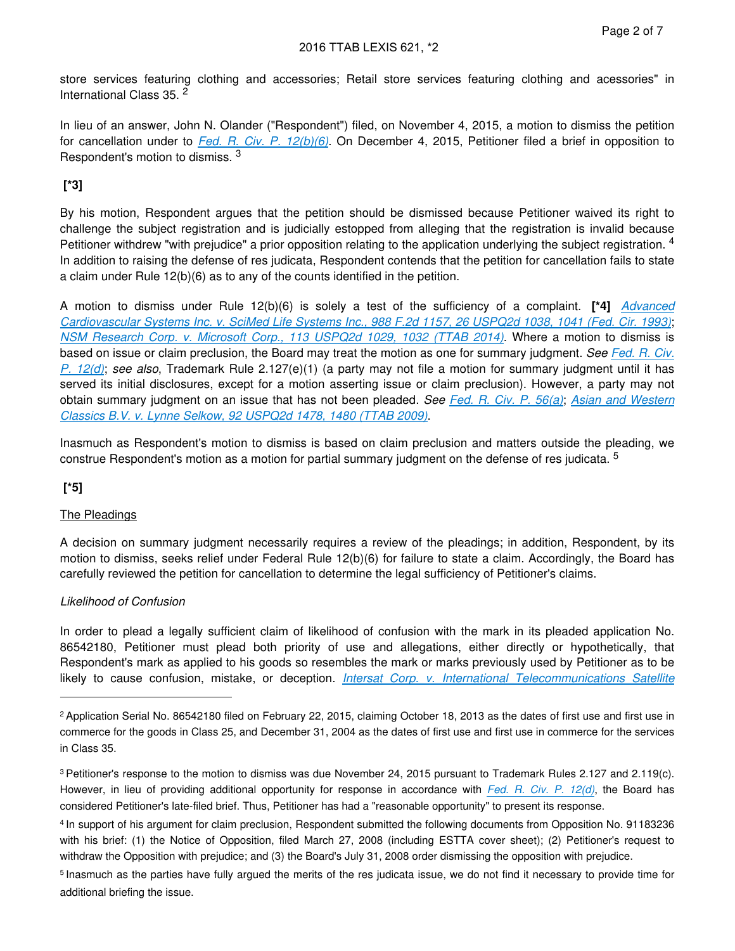store services featuring clothing and accessories; Retail store services featuring clothing and acessories" in International Class 35. <sup>2</sup>

In lieu of an answer, John N. Olander ("Respondent") filed, on November 4, 2015, a motion to dismiss the petition for cancellation under to *[Fed. R. Civ. P. 12\(b\)\(6\)](https://advance.lexis.com/api/document?collection=statutes-legislation&id=urn:contentItem:5GYC-1WP1-6N19-F0YW-00000-00&context=)*. On December 4, 2015, Petitioner filed a brief in opposition to Respondent's motion to dismiss. <sup>3</sup>

### **[\*3]**

By his motion, Respondent argues that the petition should be dismissed because Petitioner waived its right to challenge the subject registration and is judicially estopped from alleging that the registration is invalid because Petitioner withdrew "with prejudice" a prior opposition relating to the application underlying the subject registration. <sup>4</sup> In addition to raising the defense of res judicata, Respondent contends that the petition for cancellation fails to state a claim under Rule 12(b)(6) as to any of the counts identified in the petition.

A motion to dismiss under Rule 12(b)(6) is solely a test of the sufficiency of a complaint. **[\*4]** *[Advanced](https://advance.lexis.com/api/document?collection=cases&id=urn:contentItem:3S4V-N270-003N-444D-00000-00&context=)  [Cardiovascular Systems Inc. v. SciMed Life Systems Inc., 988 F.2d 1157, 26 USPQ2d 1038, 1041 \(Fed. Cir. 1993\)](https://advance.lexis.com/api/document?collection=cases&id=urn:contentItem:3S4V-N270-003N-444D-00000-00&context=)*; *[NSM Research Corp. v. Microsoft Corp., 113 USPQ2d 1029, 1032 \(TTAB 2014\)](https://advance.lexis.com/api/document?collection=administrative-materials&id=urn:contentItem:5F3K-D3S0-01KR-B463-00000-00&context=)*. Where a motion to dismiss is based on issue or claim preclusion, the Board may treat the motion as one for summary judgment. *See [Fed. R. Civ.](https://advance.lexis.com/api/document?collection=statutes-legislation&id=urn:contentItem:5GYC-1WP1-6N19-F0YW-00000-00&context=)  [P. 12\(d\)](https://advance.lexis.com/api/document?collection=statutes-legislation&id=urn:contentItem:5GYC-1WP1-6N19-F0YW-00000-00&context=)*; *see also*, Trademark Rule 2.127(e)(1) (a party may not file a motion for summary judgment until it has served its initial disclosures, except for a motion asserting issue or claim preclusion). However, a party may not obtain summary judgment on an issue that has not been pleaded. *See [Fed. R. Civ. P. 56\(a\)](https://advance.lexis.com/api/document?collection=statutes-legislation&id=urn:contentItem:5GYC-2421-6N19-F165-00000-00&context=)*; *[Asian and Western](https://advance.lexis.com/api/document?collection=administrative-materials&id=urn:contentItem:4XKR-PK30-01KR-B44S-00000-00&context=)  [Classics B.V. v. Lynne Selkow, 92 USPQ2d 1478, 1480 \(TTAB 2009\)](https://advance.lexis.com/api/document?collection=administrative-materials&id=urn:contentItem:4XKR-PK30-01KR-B44S-00000-00&context=)*.

Inasmuch as Respondent's motion to dismiss is based on claim preclusion and matters outside the pleading, we construe Respondent's motion as a motion for partial summary judgment on the defense of res judicata. <sup>5</sup>

### **[\*5]**

### The Pleadings

A decision on summary judgment necessarily requires a review of the pleadings; in addition, Respondent, by its motion to dismiss, seeks relief under Federal Rule 12(b)(6) for failure to state a claim. Accordingly, the Board has carefully reviewed the petition for cancellation to determine the legal sufficiency of Petitioner's claims.

### *Likelihood of Confusion*

In order to plead a legally sufficient claim of likelihood of confusion with the mark in its pleaded application No. 86542180, Petitioner must plead both priority of use and allegations, either directly or hypothetically, that Respondent's mark as applied to his goods so resembles the mark or marks previously used by Petitioner as to be likely to cause confusion, mistake, or deception. *[Intersat Corp. v. International Telecommunications Satellite](https://advance.lexis.com/api/document?collection=administrative-materials&id=urn:contentItem:3T1P-0XJ0-0017-K12N-00000-00&context=)* 

<sup>2</sup>Application Serial No. 86542180 filed on February 22, 2015, claiming October 18, 2013 as the dates of first use and first use in commerce for the goods in Class 25, and December 31, 2004 as the dates of first use and first use in commerce for the services in Class 35.

<sup>3</sup>Petitioner's response to the motion to dismiss was due November 24, 2015 pursuant to Trademark Rules 2.127 and 2.119(c). However, in lieu of providing additional opportunity for response in accordance with *[Fed. R. Civ. P.](https://advance.lexis.com/api/document?collection=statutes-legislation&id=urn:contentItem:5GYC-1WP1-6N19-F0YW-00000-00&context=) 12(d)*, the Board has considered Petitioner's late-filed brief. Thus, Petitioner has had a "reasonable opportunity" to present its response.

<sup>4</sup>In support of his argument for claim preclusion, Respondent submitted the following documents from Opposition No. 91183236 with his brief: (1) the Notice of Opposition, filed March 27, 2008 (including ESTTA cover sheet); (2) Petitioner's request to withdraw the Opposition with prejudice; and (3) the Board's July 31, 2008 order dismissing the opposition with prejudice.

<sup>&</sup>lt;sup>5</sup> Inasmuch as the parties have fully argued the merits of the res judicata issue, we do not find it necessary to provide time for additional briefing the issue.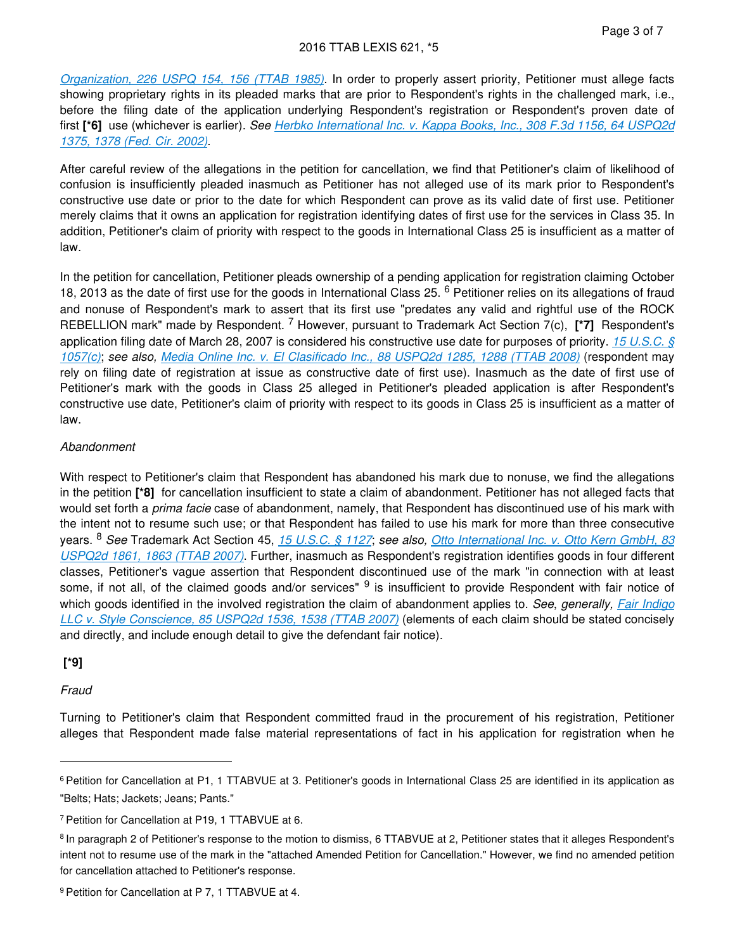*[Organization, 226 USPQ 154, 156 \(TTAB 1985\)](https://advance.lexis.com/api/document?collection=administrative-materials&id=urn:contentItem:3T1P-0XJ0-0017-K12N-00000-00&context=)*. In order to properly assert priority, Petitioner must allege facts showing proprietary rights in its pleaded marks that are prior to Respondent's rights in the challenged mark, i.e., before the filing date of the application underlying Respondent's registration or Respondent's proven date of first **[\*6]** use (whichever is earlier). *See [Herbko International Inc. v. Kappa Books, Inc., 308 F.3d 1156, 64 USPQ2d](https://advance.lexis.com/api/document?collection=cases&id=urn:contentItem:46NW-HHY0-003B-94WR-00000-00&context=)  [1375, 1378 \(Fed. Cir. 2002\)](https://advance.lexis.com/api/document?collection=cases&id=urn:contentItem:46NW-HHY0-003B-94WR-00000-00&context=)*.

After careful review of the allegations in the petition for cancellation, we find that Petitioner's claim of likelihood of confusion is insufficiently pleaded inasmuch as Petitioner has not alleged use of its mark prior to Respondent's constructive use date or prior to the date for which Respondent can prove as its valid date of first use. Petitioner merely claims that it owns an application for registration identifying dates of first use for the services in Class 35. In addition, Petitioner's claim of priority with respect to the goods in International Class 25 is insufficient as a matter of law.

In the petition for cancellation, Petitioner pleads ownership of a pending application for registration claiming October 18, 2013 as the date of first use for the goods in International Class 25. <sup>6</sup> Petitioner relies on its allegations of fraud and nonuse of Respondent's mark to assert that its first use "predates any valid and rightful use of the ROCK REBELLION mark" made by Respondent. <sup>7</sup> However, pursuant to Trademark Act Section 7(c), [\*7] Respondent's application filing date of March 28, 2007 is considered his constructive use date for purposes of priority. *[15 U.S.C. §](https://advance.lexis.com/api/document?collection=statutes-legislation&id=urn:contentItem:8S9D-W4W2-8T6X-715V-00000-00&context=)  [1057\(c\)](https://advance.lexis.com/api/document?collection=statutes-legislation&id=urn:contentItem:8S9D-W4W2-8T6X-715V-00000-00&context=)*; *see also, [Media Online Inc. v. El Clasificado Inc., 88 USPQ2d 1285, 1288 \(TTAB 2008\)](https://advance.lexis.com/api/document?collection=administrative-materials&id=urn:contentItem:4V9P-NW50-01KR-B110-00000-00&context=)* (respondent may rely on filing date of registration at issue as constructive date of first use). Inasmuch as the date of first use of Petitioner's mark with the goods in Class 25 alleged in Petitioner's pleaded application is after Respondent's constructive use date, Petitioner's claim of priority with respect to its goods in Class 25 is insufficient as a matter of law.

### *Abandonment*

With respect to Petitioner's claim that Respondent has abandoned his mark due to nonuse, we find the allegations in the petition **[\*8]** for cancellation insufficient to state a claim of abandonment. Petitioner has not alleged facts that would set forth a *prima facie* case of abandonment, namely, that Respondent has discontinued use of his mark with the intent not to resume such use; or that Respondent has failed to use his mark for more than three consecutive years. <sup>8</sup> *See* Trademark Act Section 45, *[15 U.S.C. § 1127](https://advance.lexis.com/api/document?collection=statutes-legislation&id=urn:contentItem:8S9D-W4W2-8T6X-7179-00000-00&context=)*; *see also, [Otto International Inc. v. Otto Kern GmbH, 83](https://advance.lexis.com/api/document?collection=administrative-materials&id=urn:contentItem:4NX7-FFM0-0017-K03M-00000-00&context=)  [USPQ2d 1861, 1863 \(TTAB 2007\)](https://advance.lexis.com/api/document?collection=administrative-materials&id=urn:contentItem:4NX7-FFM0-0017-K03M-00000-00&context=)*. Further, inasmuch as Respondent's registration identifies goods in four different classes, Petitioner's vague assertion that Respondent discontinued use of the mark "in connection with at least some, if not all, of the claimed goods and/or services" <sup>9</sup> is insufficient to provide Respondent with fair notice of which goods identified in the involved registration the claim of abandonment applies to. *See*, *generally, [Fair Indigo](https://advance.lexis.com/api/document?collection=administrative-materials&id=urn:contentItem:4R8C-XW20-01KR-B00M-00000-00&context=)  [LLC v. Style Conscience, 85 USPQ2d 1536, 1538 \(TTAB 2007\)](https://advance.lexis.com/api/document?collection=administrative-materials&id=urn:contentItem:4R8C-XW20-01KR-B00M-00000-00&context=)* (elements of each claim should be stated concisely and directly, and include enough detail to give the defendant fair notice).

### **[\*9]**

### *Fraud*

Turning to Petitioner's claim that Respondent committed fraud in the procurement of his registration, Petitioner alleges that Respondent made false material representations of fact in his application for registration when he

<sup>&</sup>lt;sup>6</sup> Petition for Cancellation at P1, 1 TTABVUE at 3. Petitioner's goods in International Class 25 are identified in its application as "Belts; Hats; Jackets; Jeans; Pants."

<sup>7</sup>Petition for Cancellation at P19, 1 TTABVUE at 6.

<sup>8</sup>In paragraph 2 of Petitioner's response to the motion to dismiss, 6 TTABVUE at 2, Petitioner states that it alleges Respondent's intent not to resume use of the mark in the "attached Amended Petition for Cancellation." However, we find no amended petition for cancellation attached to Petitioner's response.

<sup>9</sup> Petition for Cancellation at P 7, 1 TTABVUE at 4.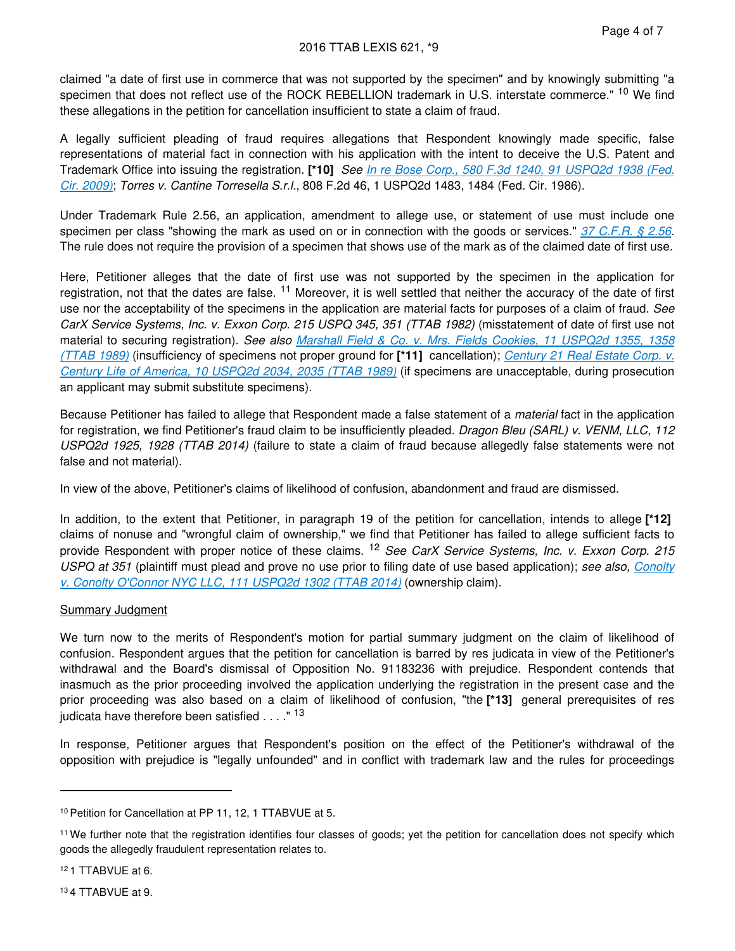#### 2016 TTAB LEXIS 621, \*9

claimed "a date of first use in commerce that was not supported by the specimen" and by knowingly submitting "a specimen that does not reflect use of the ROCK REBELLION trademark in U.S. interstate commerce." <sup>10</sup> We find these allegations in the petition for cancellation insufficient to state a claim of fraud.

A legally sufficient pleading of fraud requires allegations that Respondent knowingly made specific, false representations of material fact in connection with his application with the intent to deceive the U.S. Patent and Trademark Office into issuing the registration. **[\*10]** *See [In re Bose Corp., 580 F.3d 1240, 91 USPQ2d 1938 \(Fed.](https://advance.lexis.com/api/document?collection=cases&id=urn:contentItem:4X4S-P670-TXFN-6392-00000-00&context=)  [Cir. 2009\)](https://advance.lexis.com/api/document?collection=cases&id=urn:contentItem:4X4S-P670-TXFN-6392-00000-00&context=)*; *Torres v. Cantine Torresella S.r.l.*, 808 F.2d 46, 1 USPQ2d 1483, 1484 (Fed. Cir. 1986).

Under Trademark Rule 2.56, an application, amendment to allege use, or statement of use must include one specimen per class "showing the mark as used on or in connection with the goods or services." *[37 C.F.R. § 2.56](https://advance.lexis.com/api/document?collection=administrative-codes&id=urn:contentItem:602B-93B1-DYB7-W3TS-00000-00&context=)*. The rule does not require the provision of a specimen that shows use of the mark as of the claimed date of first use.

Here, Petitioner alleges that the date of first use was not supported by the specimen in the application for registration, not that the dates are false. <sup>11</sup> Moreover, it is well settled that neither the accuracy of the date of first use nor the acceptability of the specimens in the application are material facts for purposes of a claim of fraud. *See CarX Service Systems, Inc. v. Exxon Corp. 215 USPQ 345, 351 (TTAB 1982)* (misstatement of date of first use not material to securing registration). *See also [Marshall Field & Co. v. Mrs. Fields Cookies, 11 USPQ2d 1355, 1358](https://advance.lexis.com/api/document?collection=administrative-materials&id=urn:contentItem:3T1P-0WJ0-0017-K0H0-00000-00&context=)  [\(TTAB 1989\)](https://advance.lexis.com/api/document?collection=administrative-materials&id=urn:contentItem:3T1P-0WJ0-0017-K0H0-00000-00&context=)* (insufficiency of specimens not proper ground for **[\*11]** cancellation); *[Century 21 Real Estate Corp. v.](https://advance.lexis.com/api/document?collection=administrative-materials&id=urn:contentItem:3T1P-0WK0-0017-K0HB-00000-00&context=)  [Century Life of America, 10 USPQ2d 2034, 2035 \(TTAB 1989\)](https://advance.lexis.com/api/document?collection=administrative-materials&id=urn:contentItem:3T1P-0WK0-0017-K0HB-00000-00&context=)* (if specimens are unacceptable, during prosecution an applicant may submit substitute specimens).

Because Petitioner has failed to allege that Respondent made a false statement of a *material* fact in the application for registration, we find Petitioner's fraud claim to be insufficiently pleaded. *Dragon Bleu (SARL) v. VENM, LLC, 112 USPQ2d 1925, 1928 (TTAB 2014)* (failure to state a claim of fraud because allegedly false statements were not false and not material).

In view of the above, Petitioner's claims of likelihood of confusion, abandonment and fraud are dismissed.

In addition, to the extent that Petitioner, in paragraph 19 of the petition for cancellation, intends to allege **[\*12]**  claims of nonuse and "wrongful claim of ownership," we find that Petitioner has failed to allege sufficient facts to provide Respondent with proper notice of these claims. <sup>12</sup> *See CarX Service Systems, Inc. v. Exxon Corp. 215 USPQ at 351* (plaintiff must plead and prove no use prior to filing date of use based application); *see also, [Conolty](https://advance.lexis.com/api/document?collection=administrative-materials&id=urn:contentItem:5CM6-3710-01KR-B41C-00000-00&context=)  [v. Conolty O'Connor NYC LLC, 111 USPQ2d 1302 \(TTAB 2014\)](https://advance.lexis.com/api/document?collection=administrative-materials&id=urn:contentItem:5CM6-3710-01KR-B41C-00000-00&context=)* (ownership claim).

#### Summary Judgment

We turn now to the merits of Respondent's motion for partial summary judgment on the claim of likelihood of confusion. Respondent argues that the petition for cancellation is barred by res judicata in view of the Petitioner's withdrawal and the Board's dismissal of Opposition No. 91183236 with prejudice. Respondent contends that inasmuch as the prior proceeding involved the application underlying the registration in the present case and the prior proceeding was also based on a claim of likelihood of confusion, "the **[\*13]** general prerequisites of res iudicata have therefore been satisfied  $\ldots$ ." <sup>13</sup>

In response, Petitioner argues that Respondent's position on the effect of the Petitioner's withdrawal of the opposition with prejudice is "legally unfounded" and in conflict with trademark law and the rules for proceedings

<sup>12</sup>1 TTABVUE at 6.

<sup>13</sup>4 TTABVUE at 9.

<sup>&</sup>lt;sup>10</sup> Petition for Cancellation at PP 11, 12, 1 TTABVUE at 5.

<sup>&</sup>lt;sup>11</sup> We further note that the registration identifies four classes of goods; yet the petition for cancellation does not specify which goods the allegedly fraudulent representation relates to.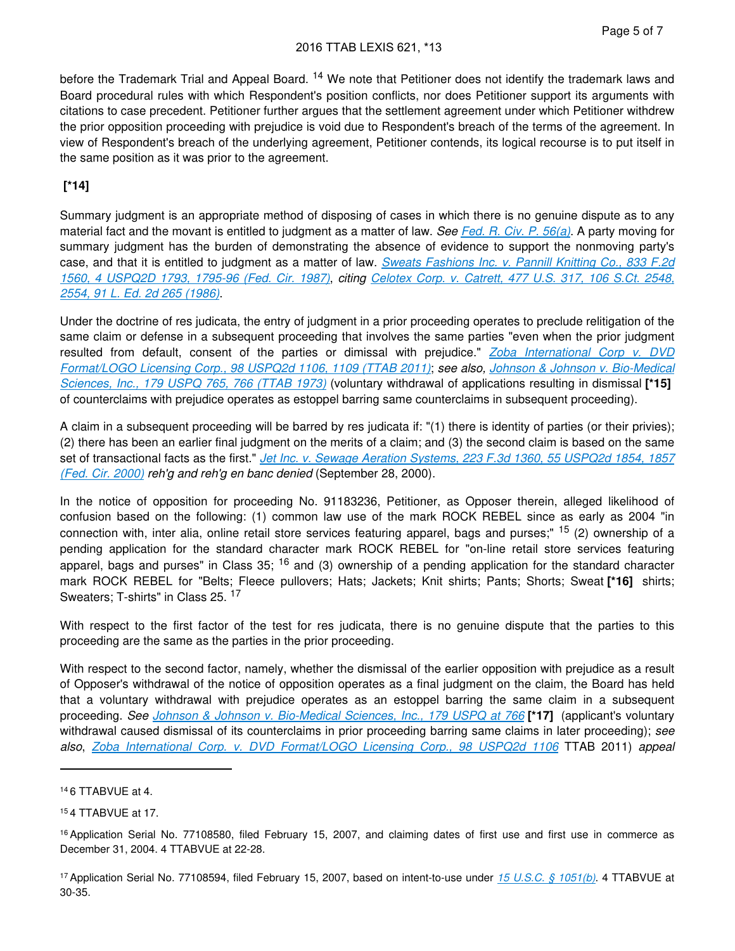before the Trademark Trial and Appeal Board. <sup>14</sup> We note that Petitioner does not identify the trademark laws and Board procedural rules with which Respondent's position conflicts, nor does Petitioner support its arguments with citations to case precedent. Petitioner further argues that the settlement agreement under which Petitioner withdrew the prior opposition proceeding with prejudice is void due to Respondent's breach of the terms of the agreement. In view of Respondent's breach of the underlying agreement, Petitioner contends, its logical recourse is to put itself in the same position as it was prior to the agreement.

### **[\*14]**

Summary judgment is an appropriate method of disposing of cases in which there is no genuine dispute as to any material fact and the movant is entitled to judgment as a matter of law. *See [Fed. R. Civ. P. 56\(a\)](https://advance.lexis.com/api/document?collection=statutes-legislation&id=urn:contentItem:5GYC-2421-6N19-F165-00000-00&context=)*. A party moving for summary judgment has the burden of demonstrating the absence of evidence to support the nonmoving party's case, and that it is entitled to judgment as a matter of law. *[Sweats Fashions Inc. v. Pannill Knitting Co., 833 F.2d](https://advance.lexis.com/api/document?collection=cases&id=urn:contentItem:3S4V-JNV0-0039-V3BG-00000-00&context=)  [1560, 4 USPQ2D 1793, 1795-96 \(Fed. Cir. 1987\)](https://advance.lexis.com/api/document?collection=cases&id=urn:contentItem:3S4V-JNV0-0039-V3BG-00000-00&context=)*, *citing [Celotex Corp. v. Catrett, 477 U.S. 317, 106 S.Ct. 2548,](https://advance.lexis.com/api/document?collection=cases&id=urn:contentItem:3S4X-6HC0-0039-N37R-00000-00&context=)  [2554, 91 L. Ed. 2d 265 \(1986\)](https://advance.lexis.com/api/document?collection=cases&id=urn:contentItem:3S4X-6HC0-0039-N37R-00000-00&context=)*.

Under the doctrine of res judicata, the entry of judgment in a prior proceeding operates to preclude relitigation of the same claim or defense in a subsequent proceeding that involves the same parties "even when the prior judgment resulted from default, consent of the parties or dimissal with prejudice." *[Zoba International Corp v. DVD](https://advance.lexis.com/api/document?collection=administrative-materials&id=urn:contentItem:52CR-82Y0-01KR-B4XD-00000-00&context=)  [Format/LOGO Licensing Corp., 98 USPQ2d 1106, 1109 \(TTAB 2011\)](https://advance.lexis.com/api/document?collection=administrative-materials&id=urn:contentItem:52CR-82Y0-01KR-B4XD-00000-00&context=)*; *see also, [Johnson & Johnson v. Bio-Medical](https://advance.lexis.com/api/document?collection=administrative-materials&id=urn:contentItem:58XN-PB40-01KR-B3RY-00000-00&context=)  [Sciences, Inc., 179 USPQ 765, 766 \(TTAB 1973\)](https://advance.lexis.com/api/document?collection=administrative-materials&id=urn:contentItem:58XN-PB40-01KR-B3RY-00000-00&context=)* (voluntary withdrawal of applications resulting in dismissal **[\*15]**  of counterclaims with prejudice operates as estoppel barring same counterclaims in subsequent proceeding).

A claim in a subsequent proceeding will be barred by res judicata if: "(1) there is identity of parties (or their privies); (2) there has been an earlier final judgment on the merits of a claim; and (3) the second claim is based on the same set of transactional facts as the first." *[Jet Inc. v. Sewage Aeration Systems, 223 F.3d 1360, 55 USPQ2d 1854, 1857](https://advance.lexis.com/api/document?collection=cases&id=urn:contentItem:4123-5C20-003B-9081-00000-00&context=) [\(Fed. Cir. 2000\)](https://advance.lexis.com/api/document?collection=cases&id=urn:contentItem:4123-5C20-003B-9081-00000-00&context=) reh'g and reh'g en banc denied* (September 28, 2000).

In the notice of opposition for proceeding No. 91183236, Petitioner, as Opposer therein, alleged likelihood of confusion based on the following: (1) common law use of the mark ROCK REBEL since as early as 2004 "in connection with, inter alia, online retail store services featuring apparel, bags and purses;" 15 (2) ownership of a pending application for the standard character mark ROCK REBEL for "on-line retail store services featuring apparel, bags and purses" in Class  $35$ ;  $16$  and (3) ownership of a pending application for the standard character mark ROCK REBEL for "Belts; Fleece pullovers; Hats; Jackets; Knit shirts; Pants; Shorts; Sweat **[\*16]** shirts; Sweaters: T-shirts" in Class 25.<sup>17</sup>

With respect to the first factor of the test for res judicata, there is no genuine dispute that the parties to this proceeding are the same as the parties in the prior proceeding.

With respect to the second factor, namely, whether the dismissal of the earlier opposition with prejudice as a result of Opposer's withdrawal of the notice of opposition operates as a final judgment on the claim, the Board has held that a voluntary withdrawal with prejudice operates as an estoppel barring the same claim in a subsequent proceeding. *See [Johnson & Johnson v. Bio-Medical Sciences, Inc., 179 USPQ at 766](https://advance.lexis.com/api/document?collection=administrative-materials&id=urn:contentItem:58XN-PB40-01KR-B3RY-00000-00&context=)* **[\*17]** (applicant's voluntary withdrawal caused dismissal of its counterclaims in prior proceeding barring same claims in later proceeding); *see also*, *[Zoba International Corp. v. DVD Format/LOGO Licensing Corp., 98 USPQ2d 1106](https://advance.lexis.com/api/document?collection=administrative-materials&id=urn:contentItem:52CR-82Y0-01KR-B4XD-00000-00&context=)* TTAB 2011) *appeal* 

<sup>14</sup>6 TTABVUE at 4.

<sup>15</sup>4 TTABVUE at 17.

<sup>&</sup>lt;sup>16</sup> Application Serial No. 77108580, filed February 15, 2007, and claiming dates of first use and first use in commerce as December 31, 2004. 4 TTABVUE at 22-28.

<sup>17</sup>Application Serial No. 77108594, filed February 15, 2007, based on intent-to-use under *[15 U.S.C. § 1051\(b\)](https://advance.lexis.com/api/document?collection=statutes-legislation&id=urn:contentItem:8S9D-W4W2-8T6X-715M-00000-00&context=)*. 4 TTABVUE at 30-35.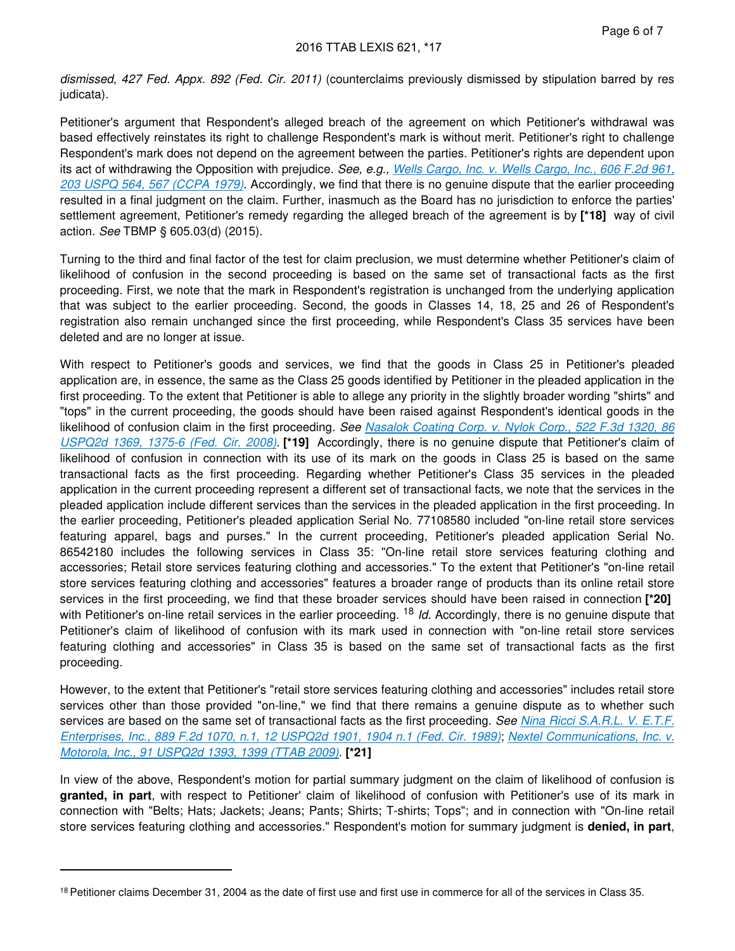*dismissed*, *427 Fed. Appx. 892 (Fed. Cir. 2011)* (counterclaims previously dismissed by stipulation barred by res judicata).

Petitioner's argument that Respondent's alleged breach of the agreement on which Petitioner's withdrawal was based effectively reinstates its right to challenge Respondent's mark is without merit. Petitioner's right to challenge Respondent's mark does not depend on the agreement between the parties. Petitioner's rights are dependent upon its act of withdrawing the Opposition with prejudice. *See, e.g., [Wells Cargo, Inc. v. Wells Cargo, Inc., 606 F.2d 961,](https://advance.lexis.com/api/document?collection=cases&id=urn:contentItem:3S4X-3600-003S-M0H6-00000-00&context=)  [203 USPQ 564, 567 \(CCPA 1979\)](https://advance.lexis.com/api/document?collection=cases&id=urn:contentItem:3S4X-3600-003S-M0H6-00000-00&context=)*. Accordingly, we find that there is no genuine dispute that the earlier proceeding resulted in a final judgment on the claim. Further, inasmuch as the Board has no jurisdiction to enforce the parties' settlement agreement, Petitioner's remedy regarding the alleged breach of the agreement is by **[\*18]** way of civil action. *See* TBMP § 605.03(d) (2015).

Turning to the third and final factor of the test for claim preclusion, we must determine whether Petitioner's claim of likelihood of confusion in the second proceeding is based on the same set of transactional facts as the first proceeding. First, we note that the mark in Respondent's registration is unchanged from the underlying application that was subject to the earlier proceeding. Second, the goods in Classes 14, 18, 25 and 26 of Respondent's registration also remain unchanged since the first proceeding, while Respondent's Class 35 services have been deleted and are no longer at issue.

With respect to Petitioner's goods and services, we find that the goods in Class 25 in Petitioner's pleaded application are, in essence, the same as the Class 25 goods identified by Petitioner in the pleaded application in the first proceeding. To the extent that Petitioner is able to allege any priority in the slightly broader wording "shirts" and "tops" in the current proceeding, the goods should have been raised against Respondent's identical goods in the likelihood of confusion claim in the first proceeding. *See [Nasalok Coating Corp. v. Nylok Corp., 522 F.3d 1320, 86](https://advance.lexis.com/api/document?collection=cases&id=urn:contentItem:4S9P-7KS0-TX4N-G0XT-00000-00&context=)  [USPQ2d 1369, 1375-6 \(Fed. Cir. 2008\)](https://advance.lexis.com/api/document?collection=cases&id=urn:contentItem:4S9P-7KS0-TX4N-G0XT-00000-00&context=)*. **[\*19]** Accordingly, there is no genuine dispute that Petitioner's claim of likelihood of confusion in connection with its use of its mark on the goods in Class 25 is based on the same transactional facts as the first proceeding. Regarding whether Petitioner's Class 35 services in the pleaded application in the current proceeding represent a different set of transactional facts, we note that the services in the pleaded application include different services than the services in the pleaded application in the first proceeding. In the earlier proceeding, Petitioner's pleaded application Serial No. 77108580 included "on-line retail store services featuring apparel, bags and purses." In the current proceeding, Petitioner's pleaded application Serial No. 86542180 includes the following services in Class 35: "On-line retail store services featuring clothing and accessories; Retail store services featuring clothing and accessories." To the extent that Petitioner's "on-line retail store services featuring clothing and accessories" features a broader range of products than its online retail store services in the first proceeding, we find that these broader services should have been raised in connection **[\*20]**  with Petitioner's on-line retail services in the earlier proceeding. <sup>18</sup> *Id.* Accordingly, there is no genuine dispute that Petitioner's claim of likelihood of confusion with its mark used in connection with "on-line retail store services featuring clothing and accessories" in Class 35 is based on the same set of transactional facts as the first proceeding.

However, to the extent that Petitioner's "retail store services featuring clothing and accessories" includes retail store services other than those provided "on-line," we find that there remains a genuine dispute as to whether such services are based on the same set of transactional facts as the first proceeding. *See [Nina Ricci S.A.R.L. V. E.T.F.](https://advance.lexis.com/api/document?collection=cases&id=urn:contentItem:3S4V-JFY0-0039-V1BG-00000-00&context=)  [Enterprises, Inc., 889 F.2d 1070, n.1, 12 USPQ2d 1901, 1904 n.1 \(Fed. Cir. 1989\)](https://advance.lexis.com/api/document?collection=cases&id=urn:contentItem:3S4V-JFY0-0039-V1BG-00000-00&context=)*; *[Nextel Communications, Inc. v.](https://advance.lexis.com/api/document?collection=administrative-materials&id=urn:contentItem:4WP0-7S30-01KR-B24R-00000-00&context=)  [Motorola, Inc., 91 USPQ2d 1393, 1399 \(TTAB 2009\)](https://advance.lexis.com/api/document?collection=administrative-materials&id=urn:contentItem:4WP0-7S30-01KR-B24R-00000-00&context=)*. **[\*21]** 

In view of the above, Respondent's motion for partial summary judgment on the claim of likelihood of confusion is **granted, in part**, with respect to Petitioner' claim of likelihood of confusion with Petitioner's use of its mark in connection with "Belts; Hats; Jackets; Jeans; Pants; Shirts; T-shirts; Tops"; and in connection with "On-line retail store services featuring clothing and accessories." Respondent's motion for summary judgment is **denied, in part**,

<sup>18</sup> Petitioner claims December 31, 2004 as the date of first use and first use in commerce for all of the services in Class 35.